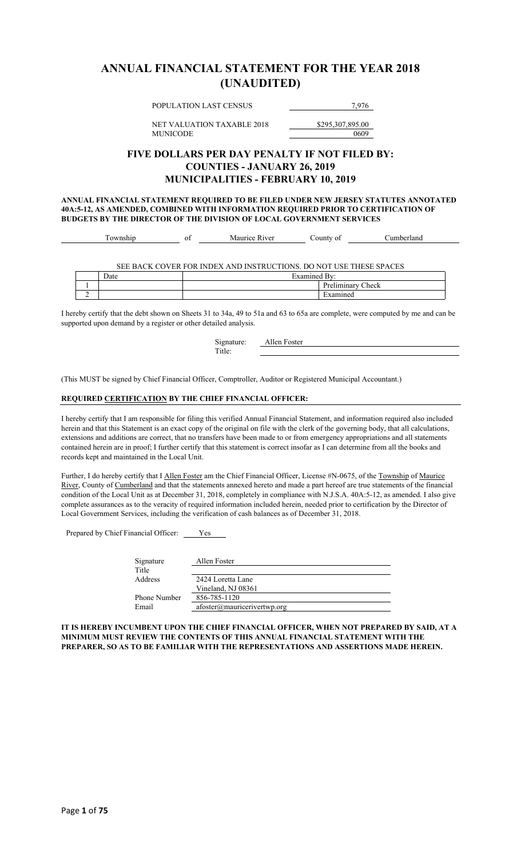### **ANNUAL FINANCIAL STATEMENT FOR THE YEAR 2018 (UNAUDITED)**

POPULATION LAST CENSUS 7,976

NET VALUATION TAXABLE 2018 \$295,307,895.00 MUNICODE 0609

### **FIVE DOLLARS PER DAY PENALTY IF NOT FILED BY: COUNTIES - JANUARY 26, 2019 MUNICIPALITIES - FEBRUARY 10, 2019**

**ANNUAL FINANCIAL STATEMENT REQUIRED TO BE FILED UNDER NEW JERSEY STATUTES ANNOTATED 40A:5-12, AS AMENDED, COMBINED WITH INFORMATION REQUIRED PRIOR TO CERTIFICATION OF BUDGETS BY THE DIRECTOR OF THE DIVISION OF LOCAL GOVERNMENT SERVICES**

|  | Township | ОI | Maurice River                                                      | County of         | Cumberland |
|--|----------|----|--------------------------------------------------------------------|-------------------|------------|
|  |          |    |                                                                    |                   |            |
|  |          |    |                                                                    |                   |            |
|  |          |    | SEE BACK COVER FOR INDEX AND INSTRUCTIONS. DO NOT USE THESE SPACES |                   |            |
|  | Date     |    |                                                                    | Examined By:      |            |
|  |          |    |                                                                    | Preliminary Check |            |
|  |          |    |                                                                    | Examined          |            |

I hereby certify that the debt shown on Sheets 31 to 34a, 49 to 51a and 63 to 65a are complete, were computed by me and can be supported upon demand by a register or other detailed analysis.

> Signature: **Allen Foster** Title:

(This MUST be signed by Chief Financial Officer, Comptroller, Auditor or Registered Municipal Accountant.)

#### **REQUIRED CERTIFICATION BY THE CHIEF FINANCIAL OFFICER:**

I hereby certify that I am responsible for filing this verified Annual Financial Statement, and information required also included herein and that this Statement is an exact copy of the original on file with the clerk of the governing body, that all calculations, extensions and additions are correct, that no transfers have been made to or from emergency appropriations and all statements contained herein are in proof; I further certify that this statement is correct insofar as I can determine from all the books and records kept and maintained in the Local Unit.

Further, I do hereby certify that I Allen Foster am the Chief Financial Officer, License #N-0675, of the Township of Maurice River, County of Cumberland and that the statements annexed hereto and made a part hereof are true statements of the financial condition of the Local Unit as at December 31, 2018, completely in compliance with N.J.S.A. 40A:5-12, as amended. I also give complete assurances as to the veracity of required information included herein, needed prior to certification by the Director of Local Government Services, including the verification of cash balances as of December 31, 2018.

Prepared by Chief Financial Officer: Ves

| Signature    | Allen Foster                          |
|--------------|---------------------------------------|
| Title        |                                       |
| Address      | 2424 Loretta Lane                     |
|              | Vineland, NJ 08361                    |
| Phone Number | 856-785-1120                          |
| Email        | $afoster(\omega)$ mauricerivertwp.org |
|              |                                       |

**IT IS HEREBY INCUMBENT UPON THE CHIEF FINANCIAL OFFICER, WHEN NOT PREPARED BY SAID, AT A MINIMUM MUST REVIEW THE CONTENTS OF THIS ANNUAL FINANCIAL STATEMENT WITH THE PREPARER, SO AS TO BE FAMILIAR WITH THE REPRESENTATIONS AND ASSERTIONS MADE HEREIN.**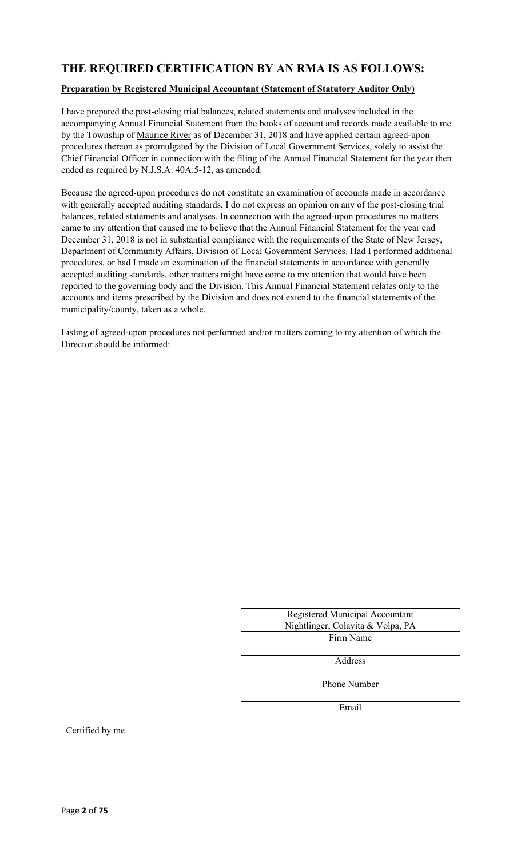### **THE REQUIRED CERTIFICATION BY AN RMA IS AS FOLLOWS:**

#### **Preparation by Registered Municipal Accountant (Statement of Statutory Auditor Only)**

I have prepared the post-closing trial balances, related statements and analyses included in the accompanying Annual Financial Statement from the books of account and records made available to me by the Township of Maurice River as of December 31, 2018 and have applied certain agreed-upon procedures thereon as promulgated by the Division of Local Government Services, solely to assist the Chief Financial Officer in connection with the filing of the Annual Financial Statement for the year then ended as required by N.J.S.A. 40A:5-12, as amended.

Because the agreed-upon procedures do not constitute an examination of accounts made in accordance with generally accepted auditing standards, I do not express an opinion on any of the post-closing trial balances, related statements and analyses. In connection with the agreed-upon procedures no matters came to my attention that caused me to believe that the Annual Financial Statement for the year end December 31, 2018 is not in substantial compliance with the requirements of the State of New Jersey, Department of Community Affairs, Division of Local Government Services. Had I performed additional procedures, or had I made an examination of the financial statements in accordance with generally accepted auditing standards, other matters might have come to my attention that would have been reported to the governing body and the Division. This Annual Financial Statement relates only to the accounts and items prescribed by the Division and does not extend to the financial statements of the municipality/county, taken as a whole.

Listing of agreed-upon procedures not performed and/or matters coming to my attention of which the Director should be informed:

| Registered Municipal Accountant   |
|-----------------------------------|
| Nightlinger, Colavita & Volpa, PA |
| Firm Name                         |

Address

Phone Number

Email

Certified by me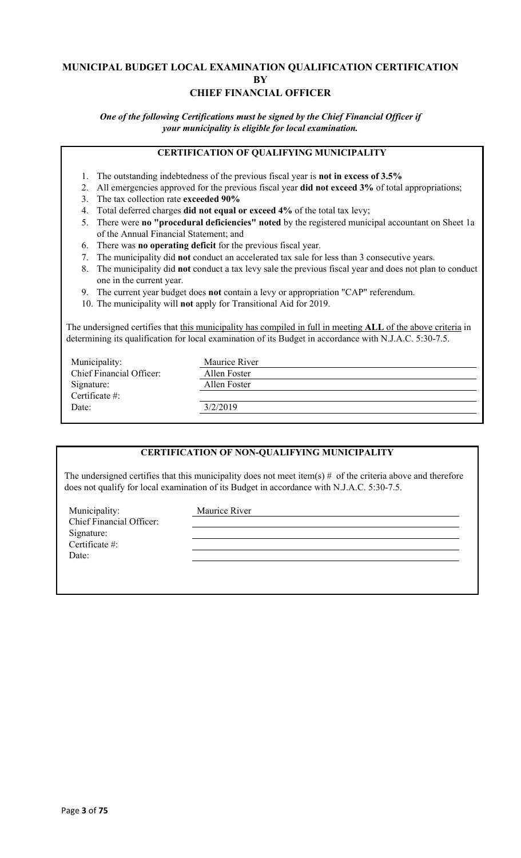### **MUNICIPAL BUDGET LOCAL EXAMINATION QUALIFICATION CERTIFICATION BY CHIEF FINANCIAL OFFICER**

*One of the following Certifications must be signed by the Chief Financial Officer if your municipality is eligible for local examination.*

### **CERTIFICATION OF QUALIFYING MUNICIPALITY**

- 1. The outstanding indebtedness of the previous fiscal year is **not in excess of 3.5%**
- 2. All emergencies approved for the previous fiscal year **did not exceed 3%** of total appropriations;
- 3. The tax collection rate **exceeded 90%**
- 4. Total deferred charges **did not equal or exceed 4%** of the total tax levy;
- 5. There were **no "procedural deficiencies" noted** by the registered municipal accountant on Sheet 1a of the Annual Financial Statement; and
- 6. There was **no operating deficit** for the previous fiscal year.
- 7. The municipality did **not** conduct an accelerated tax sale for less than 3 consecutive years.
- 8. The municipality did **not** conduct a tax levy sale the previous fiscal year and does not plan to conduct one in the current year.
- 9. The current year budget does **not** contain a levy or appropriation "CAP" referendum.
- 10. The municipality will **not** apply for Transitional Aid for 2019.

The undersigned certifies that this municipality has compiled in full in meeting **ALL** of the above criteria in determining its qualification for local examination of its Budget in accordance with N.J.A.C. 5:30-7.5.

| Municipality:                   | Maurice River |
|---------------------------------|---------------|
| <b>Chief Financial Officer:</b> | Allen Foster  |
| Signature:                      | Allen Foster  |
| Certificate #:                  |               |
| Date:                           | 3/2/2019      |
|                                 |               |

### **CERTIFICATION OF NON-QUALIFYING MUNICIPALITY**

The undersigned certifies that this municipality does not meet item(s)  $#$  of the criteria above and therefore does not qualify for local examination of its Budget in accordance with N.J.A.C. 5:30-7.5.

Municipality: Maurice River Chief Financial Officer: Signature: Certificate #: Date: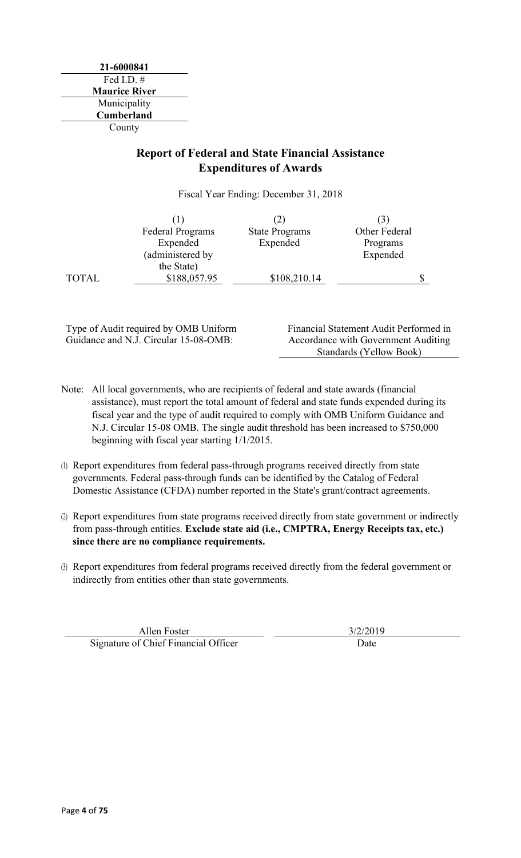### **Report of Federal and State Financial Assistance Expenditures of Awards**

Fiscal Year Ending: December 31, 2018

|              | <b>Federal Programs</b> | <b>State Programs</b> | Other Federal |  |
|--------------|-------------------------|-----------------------|---------------|--|
|              | Expended                | Expended              | Programs      |  |
|              | (administered by        |                       | Expended      |  |
|              | the State)              |                       |               |  |
| <b>TOTAL</b> | \$188,057.95            | \$108,210.14          |               |  |

Type of Audit required by OMB Uniform Guidance and N.J. Circular 15-08-OMB:

Financial Statement Audit Performed in Accordance with Government Auditing Standards (Yellow Book)

- Note: All local governments, who are recipients of federal and state awards (financial assistance), must report the total amount of federal and state funds expended during its fiscal year and the type of audit required to comply with OMB Uniform Guidance and N.J. Circular 15-08 OMB. The single audit threshold has been increased to \$750,000 beginning with fiscal year starting 1/1/2015.
- (1) Report expenditures from federal pass-through programs received directly from state governments. Federal pass-through funds can be identified by the Catalog of Federal Domestic Assistance (CFDA) number reported in the State's grant/contract agreements.
- (2) Report expenditures from state programs received directly from state government or indirectly from pass-through entities. **Exclude state aid (i.e., CMPTRA, Energy Receipts tax, etc.) since there are no compliance requirements.**
- (3) Report expenditures from federal programs received directly from the federal government or indirectly from entities other than state governments.

Allen Foster 3/2/2019 Signature of Chief Financial Officer Date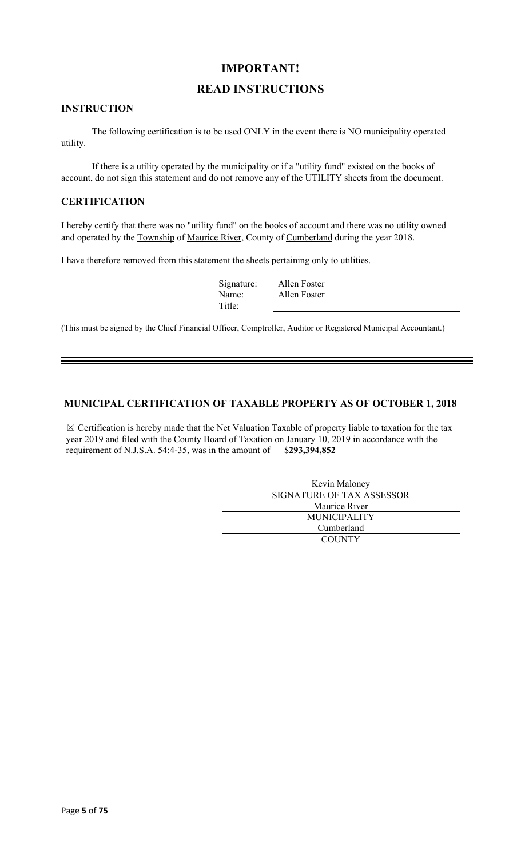### **IMPORTANT!**

### **READ INSTRUCTIONS**

#### **INSTRUCTION**

The following certification is to be used ONLY in the event there is NO municipality operated utility.

If there is a utility operated by the municipality or if a "utility fund" existed on the books of account, do not sign this statement and do not remove any of the UTILITY sheets from the document.

#### **CERTIFICATION**

I hereby certify that there was no "utility fund" on the books of account and there was no utility owned and operated by the Township of Maurice River, County of Cumberland during the year 2018.

I have therefore removed from this statement the sheets pertaining only to utilities.

| Allen Foster |
|--------------|
| Allen Foster |
|              |
|              |

(This must be signed by the Chief Financial Officer, Comptroller, Auditor or Registered Municipal Accountant.)

### **MUNICIPAL CERTIFICATION OF TAXABLE PROPERTY AS OF OCTOBER 1, 2018**

 $\boxtimes$  Certification is hereby made that the Net Valuation Taxable of property liable to taxation for the tax year 2019 and filed with the County Board of Taxation on January 10, 2019 in accordance with the requirement of N.J.S.A. 54:4-35, was in the amount of \$**293,394,852**

| Kevin Maloney             |  |  |
|---------------------------|--|--|
| SIGNATURE OF TAX ASSESSOR |  |  |
| Maurice River             |  |  |
| <b>MUNICIPALITY</b>       |  |  |
| Cumberland                |  |  |
| <b>COUNTY</b>             |  |  |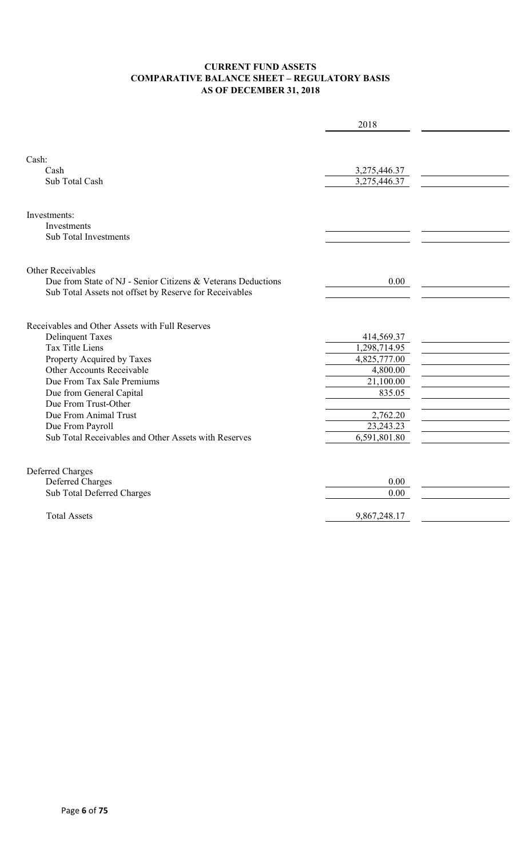### **CURRENT FUND ASSETS COMPARATIVE BALANCE SHEET – REGULATORY BASIS AS OF DECEMBER 31, 2018**

|                                                                                                                                                                                                                                                                                                                                                        | 2018                                                                                                                     |  |
|--------------------------------------------------------------------------------------------------------------------------------------------------------------------------------------------------------------------------------------------------------------------------------------------------------------------------------------------------------|--------------------------------------------------------------------------------------------------------------------------|--|
| Cash:<br>Cash<br>Sub Total Cash                                                                                                                                                                                                                                                                                                                        | 3,275,446.37<br>3,275,446.37                                                                                             |  |
| Investments:<br>Investments<br><b>Sub Total Investments</b>                                                                                                                                                                                                                                                                                            |                                                                                                                          |  |
| Other Receivables<br>Due from State of NJ - Senior Citizens & Veterans Deductions<br>Sub Total Assets not offset by Reserve for Receivables                                                                                                                                                                                                            | 0.00                                                                                                                     |  |
| Receivables and Other Assets with Full Reserves<br><b>Delinquent Taxes</b><br><b>Tax Title Liens</b><br>Property Acquired by Taxes<br>Other Accounts Receivable<br>Due From Tax Sale Premiums<br>Due from General Capital<br>Due From Trust-Other<br>Due From Animal Trust<br>Due From Payroll<br>Sub Total Receivables and Other Assets with Reserves | 414,569.37<br>1,298,714.95<br>4,825,777.00<br>4,800.00<br>21,100.00<br>835.05<br>2,762.20<br>23, 243. 23<br>6,591,801.80 |  |
| Deferred Charges<br>Deferred Charges<br>Sub Total Deferred Charges<br><b>Total Assets</b>                                                                                                                                                                                                                                                              | 0.00<br>0.00<br>9,867,248.17                                                                                             |  |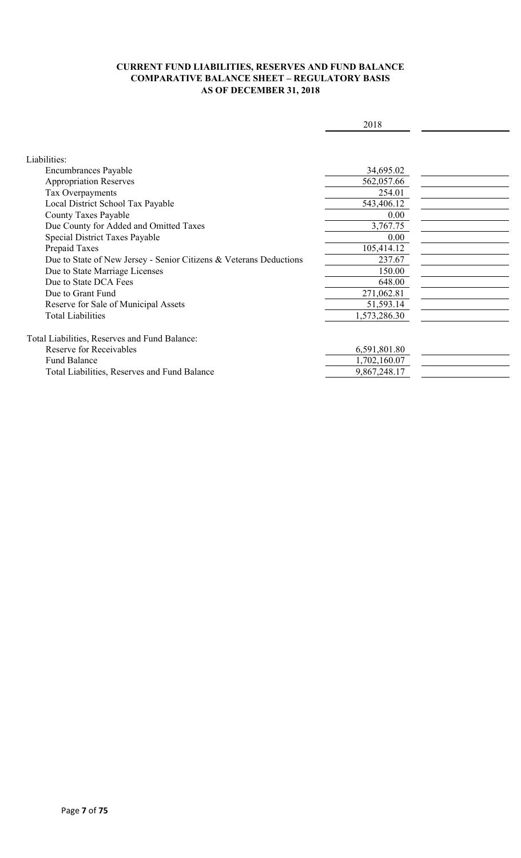### **CURRENT FUND LIABILITIES, RESERVES AND FUND BALANCE COMPARATIVE BALANCE SHEET – REGULATORY BASIS AS OF DECEMBER 31, 2018**

|                                                                    | 2018         |  |
|--------------------------------------------------------------------|--------------|--|
|                                                                    |              |  |
| Liabilities:                                                       |              |  |
|                                                                    |              |  |
| <b>Encumbrances Payable</b>                                        | 34,695.02    |  |
| <b>Appropriation Reserves</b>                                      | 562,057.66   |  |
| Tax Overpayments                                                   | 254.01       |  |
| Local District School Tax Payable                                  | 543,406.12   |  |
| <b>County Taxes Payable</b>                                        | 0.00         |  |
| Due County for Added and Omitted Taxes                             | 3,767.75     |  |
| Special District Taxes Payable                                     | 0.00         |  |
| Prepaid Taxes                                                      | 105,414.12   |  |
| Due to State of New Jersey - Senior Citizens & Veterans Deductions | 237.67       |  |
| Due to State Marriage Licenses                                     | 150.00       |  |
| Due to State DCA Fees                                              | 648.00       |  |
| Due to Grant Fund                                                  | 271,062.81   |  |
| Reserve for Sale of Municipal Assets                               | 51,593.14    |  |
| <b>Total Liabilities</b>                                           | 1,573,286.30 |  |
|                                                                    |              |  |
| Total Liabilities, Reserves and Fund Balance:                      |              |  |
| Reserve for Receivables                                            | 6,591,801.80 |  |
| <b>Fund Balance</b>                                                | 1,702,160.07 |  |
| Total Liabilities, Reserves and Fund Balance                       | 9,867,248.17 |  |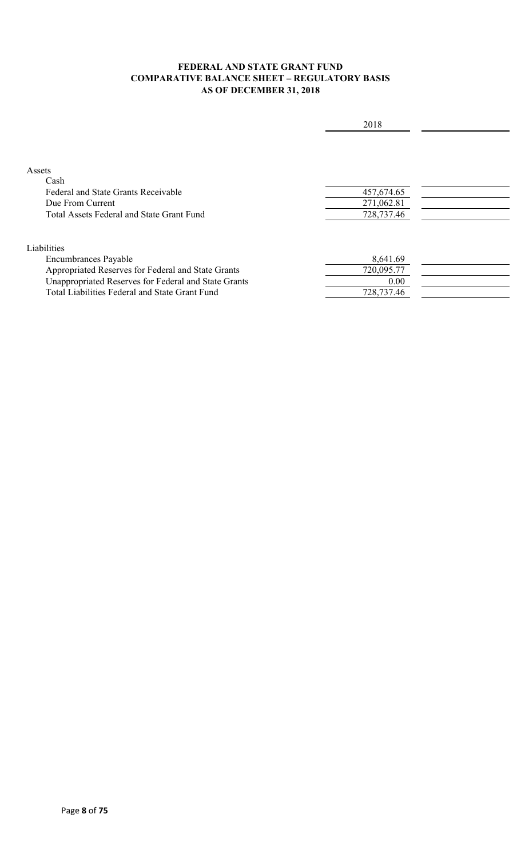### **FEDERAL AND STATE GRANT FUND COMPARATIVE BALANCE SHEET – REGULATORY BASIS AS OF DECEMBER 31, 2018**

|                                                      | 2018       |  |
|------------------------------------------------------|------------|--|
|                                                      |            |  |
| Assets                                               |            |  |
| Cash                                                 |            |  |
| Federal and State Grants Receivable                  | 457,674.65 |  |
| Due From Current                                     | 271,062.81 |  |
| Total Assets Federal and State Grant Fund            | 728,737.46 |  |
| Liabilities                                          |            |  |
| <b>Encumbrances Payable</b>                          | 8,641.69   |  |
| Appropriated Reserves for Federal and State Grants   | 720,095.77 |  |
| Unappropriated Reserves for Federal and State Grants | 0.00       |  |
| Total Liabilities Federal and State Grant Fund       | 728,737.46 |  |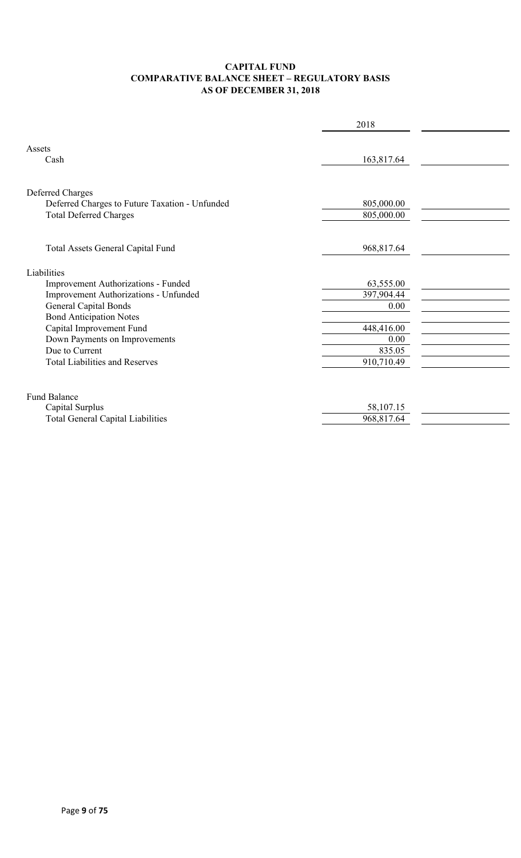### **CAPITAL FUND COMPARATIVE BALANCE SHEET – REGULATORY BASIS AS OF DECEMBER 31, 2018**

|                                                                                                     | 2018                     |  |
|-----------------------------------------------------------------------------------------------------|--------------------------|--|
| Assets<br>Cash                                                                                      | 163,817.64               |  |
| Deferred Charges<br>Deferred Charges to Future Taxation - Unfunded<br><b>Total Deferred Charges</b> | 805,000.00<br>805,000.00 |  |
| Total Assets General Capital Fund                                                                   | 968,817.64               |  |
| Liabilities                                                                                         |                          |  |
| Improvement Authorizations - Funded                                                                 | 63,555.00                |  |
| Improvement Authorizations - Unfunded                                                               | 397,904.44               |  |
| <b>General Capital Bonds</b>                                                                        | 0.00                     |  |
| <b>Bond Anticipation Notes</b>                                                                      |                          |  |
| Capital Improvement Fund                                                                            | 448,416.00               |  |
| Down Payments on Improvements                                                                       | 0.00                     |  |
| Due to Current                                                                                      | 835.05                   |  |
| <b>Total Liabilities and Reserves</b>                                                               | 910,710.49               |  |
| <b>Fund Balance</b>                                                                                 |                          |  |
| Capital Surplus                                                                                     | 58,107.15                |  |
| <b>Total General Capital Liabilities</b>                                                            | 968,817.64               |  |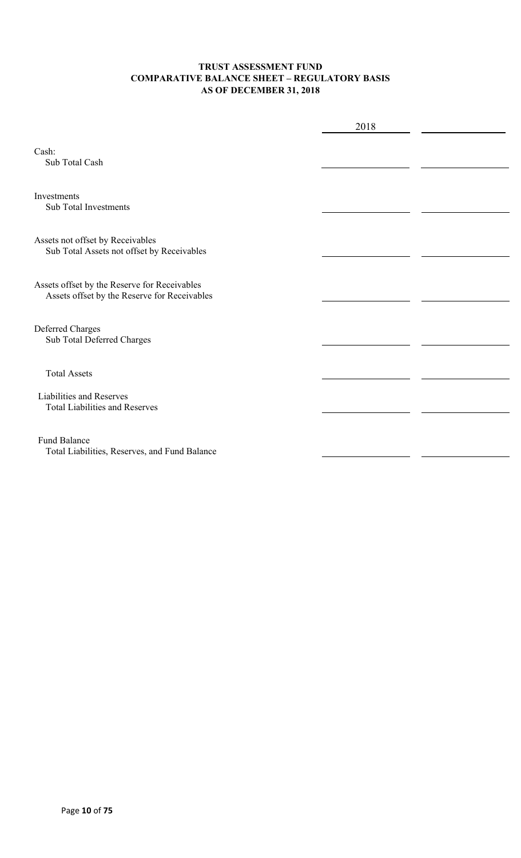### **TRUST ASSESSMENT FUND COMPARATIVE BALANCE SHEET – REGULATORY BASIS AS OF DECEMBER 31, 2018**

|                                                                                              | 2018 |  |
|----------------------------------------------------------------------------------------------|------|--|
| Cash:<br>Sub Total Cash                                                                      |      |  |
| Investments<br><b>Sub Total Investments</b>                                                  |      |  |
| Assets not offset by Receivables<br>Sub Total Assets not offset by Receivables               |      |  |
| Assets offset by the Reserve for Receivables<br>Assets offset by the Reserve for Receivables |      |  |
| Deferred Charges<br>Sub Total Deferred Charges                                               |      |  |
| <b>Total Assets</b>                                                                          |      |  |
| Liabilities and Reserves<br><b>Total Liabilities and Reserves</b>                            |      |  |
| <b>Fund Balance</b><br>Total Liabilities, Reserves, and Fund Balance                         |      |  |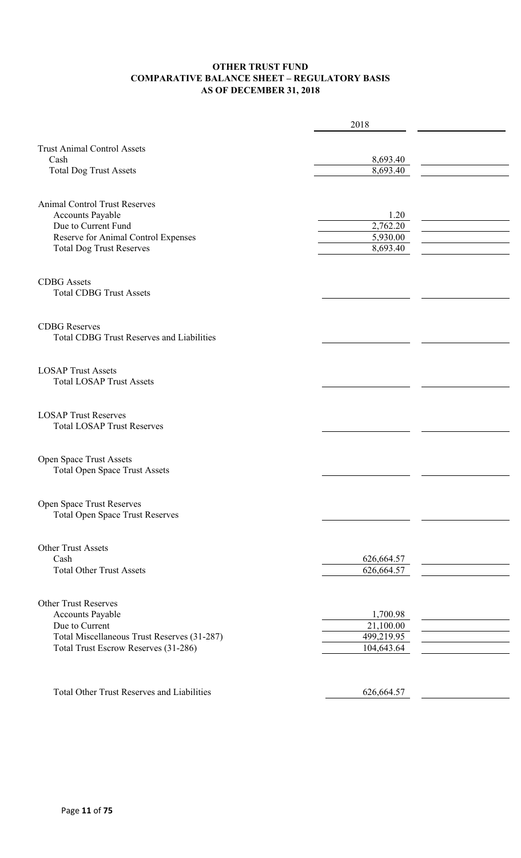### **OTHER TRUST FUND COMPARATIVE BALANCE SHEET – REGULATORY BASIS AS OF DECEMBER 31, 2018**

|                                                                          | 2018       |  |
|--------------------------------------------------------------------------|------------|--|
| <b>Trust Animal Control Assets</b>                                       |            |  |
| Cash                                                                     | 8,693.40   |  |
| <b>Total Dog Trust Assets</b>                                            | 8,693.40   |  |
| <b>Animal Control Trust Reserves</b>                                     |            |  |
| <b>Accounts Payable</b>                                                  | 1.20       |  |
| Due to Current Fund                                                      | 2,762.20   |  |
| Reserve for Animal Control Expenses                                      | 5,930.00   |  |
| <b>Total Dog Trust Reserves</b>                                          | 8,693.40   |  |
| <b>CDBG</b> Assets<br><b>Total CDBG Trust Assets</b>                     |            |  |
| <b>CDBG</b> Reserves<br><b>Total CDBG Trust Reserves and Liabilities</b> |            |  |
| <b>LOSAP Trust Assets</b><br><b>Total LOSAP Trust Assets</b>             |            |  |
| <b>LOSAP Trust Reserves</b><br><b>Total LOSAP Trust Reserves</b>         |            |  |
| Open Space Trust Assets<br><b>Total Open Space Trust Assets</b>          |            |  |
| Open Space Trust Reserves<br><b>Total Open Space Trust Reserves</b>      |            |  |
| Other Trust Assets                                                       |            |  |
| Cash                                                                     | 626,664.57 |  |
| <b>Total Other Trust Assets</b>                                          | 626,664.57 |  |
| <b>Other Trust Reserves</b>                                              |            |  |
| <b>Accounts Payable</b>                                                  | 1,700.98   |  |
| Due to Current                                                           | 21,100.00  |  |
| Total Miscellaneous Trust Reserves (31-287)                              | 499,219.95 |  |
| Total Trust Escrow Reserves (31-286)                                     | 104,643.64 |  |
| <b>Total Other Trust Reserves and Liabilities</b>                        | 626,664.57 |  |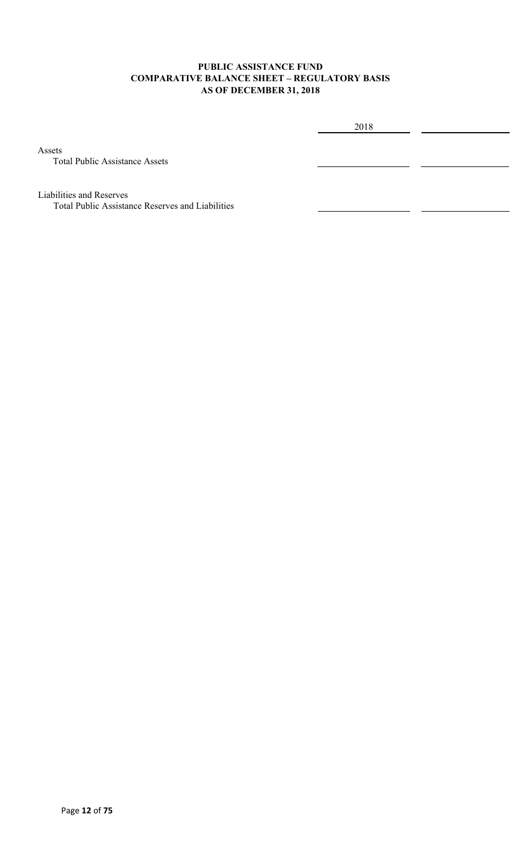### **PUBLIC ASSISTANCE FUND COMPARATIVE BALANCE SHEET – REGULATORY BASIS AS OF DECEMBER 31, 2018**

2018

Assets

Total Public Assistance Assets

Liabilities and Reserves

Total Public Assistance Reserves and Liabilities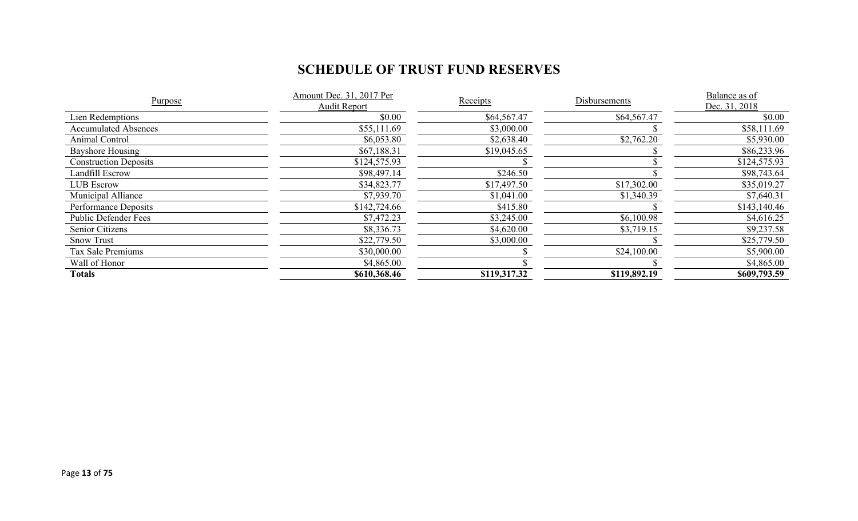# **SCHEDULE OF TRUST FUND RESERVES**

| Purpose                      | Amount Dec. 31, 2017 Per | Receipts     | Disbursements | Balance as of |
|------------------------------|--------------------------|--------------|---------------|---------------|
|                              | Audit Report             |              |               | Dec. 31, 2018 |
| Lien Redemptions             | \$0.00                   | \$64,567.47  | \$64,567.47   | \$0.00        |
| <b>Accumulated Absences</b>  | \$55,111.69              | \$3,000.00   |               | \$58,111.69   |
| Animal Control               | \$6,053.80               | \$2,638.40   | \$2,762.20    | \$5,930.00    |
| Bayshore Housing             | \$67,188.31              | \$19,045.65  |               | \$86,233.96   |
| <b>Construction Deposits</b> | \$124,575.93             |              |               | \$124,575.93  |
| Landfill Escrow              | \$98,497.14              | \$246.50     |               | \$98,743.64   |
| <b>LUB</b> Escrow            | \$34,823.77              | \$17,497.50  | \$17,302.00   | \$35,019.27   |
| Municipal Alliance           | \$7,939.70               | \$1,041.00   | \$1,340.39    | \$7,640.31    |
| Performance Deposits         | \$142,724.66             | \$415.80     |               | \$143,140.46  |
| <b>Public Defender Fees</b>  | \$7,472.23               | \$3,245.00   | \$6,100.98    | \$4,616.25    |
| Senior Citizens              | \$8,336.73               | \$4,620.00   | \$3,719.15    | \$9,237.58    |
| <b>Snow Trust</b>            | \$22,779.50              | \$3,000.00   |               | \$25,779.50   |
| Tax Sale Premiums            | \$30,000.00              |              | \$24,100.00   | \$5,900.00    |
| Wall of Honor                | \$4,865.00               |              |               | \$4,865.00    |
| Totals                       | \$610,368.46             | \$119,317.32 | \$119,892.19  | \$609,793.59  |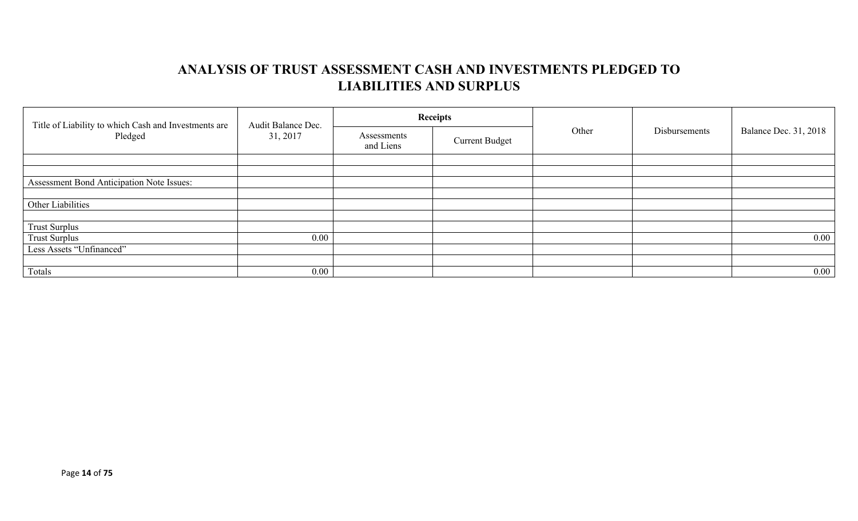# **ANALYSIS OF TRUST ASSESSMENT CASH AND INVESTMENTS PLEDGED TO LIABILITIES AND SURPLUS**

| Title of Liability to which Cash and Investments are<br>Pledged | Audit Balance Dec.<br>31, 2017 |                          | <b>Receipts</b>       | Other | Disbursements | <b>Balance Dec. 31, 2018</b> |
|-----------------------------------------------------------------|--------------------------------|--------------------------|-----------------------|-------|---------------|------------------------------|
|                                                                 |                                | Assessments<br>and Liens | <b>Current Budget</b> |       |               |                              |
|                                                                 |                                |                          |                       |       |               |                              |
|                                                                 |                                |                          |                       |       |               |                              |
| Assessment Bond Anticipation Note Issues:                       |                                |                          |                       |       |               |                              |
|                                                                 |                                |                          |                       |       |               |                              |
| Other Liabilities                                               |                                |                          |                       |       |               |                              |
|                                                                 |                                |                          |                       |       |               |                              |
| <b>Trust Surplus</b>                                            |                                |                          |                       |       |               |                              |
| <b>Trust Surplus</b>                                            | $0.00\,$                       |                          |                       |       |               | $0.00\,$                     |
| Less Assets "Unfinanced"                                        |                                |                          |                       |       |               |                              |
|                                                                 |                                |                          |                       |       |               |                              |
| Totals                                                          | $0.00\,$                       |                          |                       |       |               | $0.00\,$                     |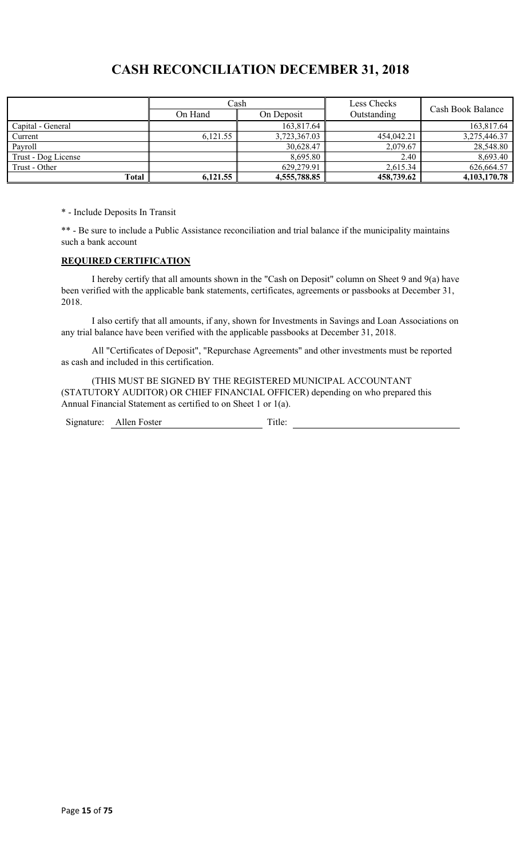## **CASH RECONCILIATION DECEMBER 31, 2018**

|                     | Cash                  |              | Less Checks | Cash Book Balance |
|---------------------|-----------------------|--------------|-------------|-------------------|
|                     | On Hand<br>On Deposit |              | Outstanding |                   |
| Capital - General   |                       | 163,817.64   |             | 163,817.64        |
| Current             | 6.121.55              | 3,723,367.03 | 454,042.21  | 3,275,446.37      |
| Payroll             |                       | 30,628.47    | 2,079.67    | 28,548.80         |
| Trust - Dog License |                       | 8,695.80     | 2.40        | 8,693.40          |
| Trust - Other       |                       | 629,279.91   | 2,615.34    | 626,664.57        |
| Total               | 6,121.55              | 4,555,788.85 | 458,739.62  | 4,103,170.78      |

\* - Include Deposits In Transit

\*\* - Be sure to include a Public Assistance reconciliation and trial balance if the municipality maintains such a bank account

#### **REQUIRED CERTIFICATION**

I hereby certify that all amounts shown in the "Cash on Deposit" column on Sheet 9 and 9(a) have been verified with the applicable bank statements, certificates, agreements or passbooks at December 31, 2018.

I also certify that all amounts, if any, shown for Investments in Savings and Loan Associations on any trial balance have been verified with the applicable passbooks at December 31, 2018.

All "Certificates of Deposit", "Repurchase Agreements" and other investments must be reported as cash and included in this certification.

(THIS MUST BE SIGNED BY THE REGISTERED MUNICIPAL ACCOUNTANT (STATUTORY AUDITOR) OR CHIEF FINANCIAL OFFICER) depending on who prepared this Annual Financial Statement as certified to on Sheet 1 or 1(a).

Signature: Allen Foster Title: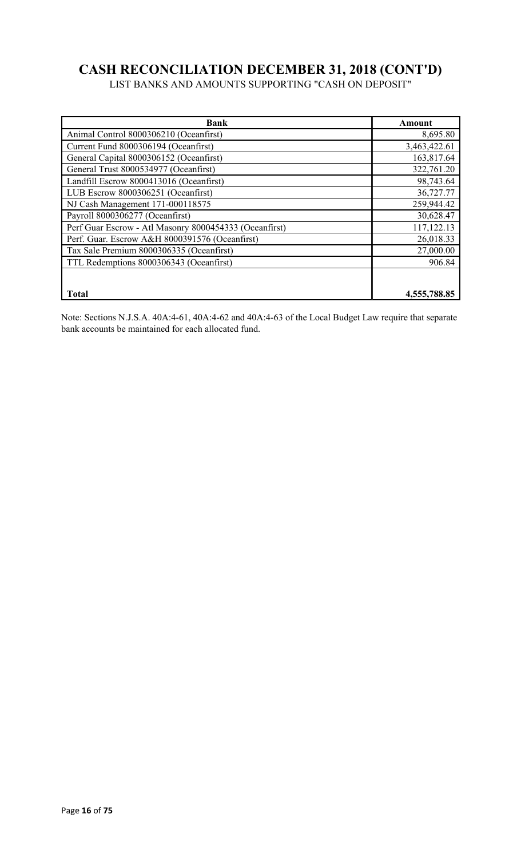# **CASH RECONCILIATION DECEMBER 31, 2018 (CONT'D)**

LIST BANKS AND AMOUNTS SUPPORTING "CASH ON DEPOSIT"

| Bank                                                   | Amount       |
|--------------------------------------------------------|--------------|
| Animal Control 8000306210 (Oceanfirst)                 | 8,695.80     |
| Current Fund 8000306194 (Oceanfirst)                   | 3,463,422.61 |
| General Capital 8000306152 (Oceanfirst)                | 163,817.64   |
| General Trust 8000534977 (Oceanfirst)                  | 322,761.20   |
| Landfill Escrow 8000413016 (Oceanfirst)                | 98,743.64    |
| LUB Escrow 8000306251 (Oceanfirst)                     | 36,727.77    |
| NJ Cash Management 171-000118575                       | 259,944.42   |
| Payroll 8000306277 (Oceanfirst)                        | 30,628.47    |
| Perf Guar Escrow - Atl Masonry 8000454333 (Oceanfirst) | 117,122.13   |
| Perf. Guar. Escrow A&H 8000391576 (Oceanfirst)         | 26,018.33    |
| Tax Sale Premium 8000306335 (Oceanfirst)               | 27,000.00    |
| TTL Redemptions 8000306343 (Oceanfirst)                | 906.84       |
|                                                        |              |
| <b>Total</b>                                           | 4,555,788.85 |

Note: Sections N.J.S.A. 40A:4-61, 40A:4-62 and 40A:4-63 of the Local Budget Law require that separate bank accounts be maintained for each allocated fund.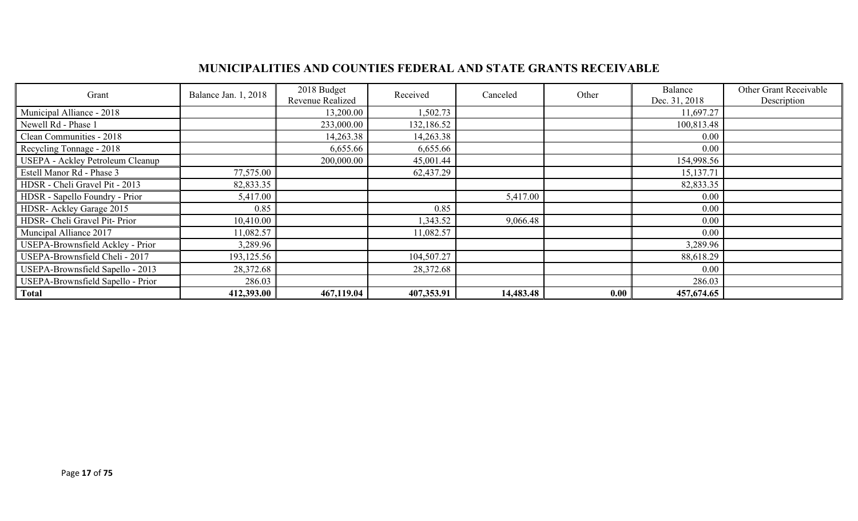## **MUNICIPALITIES AND COUNTIES FEDERAL AND STATE GRANTS RECEIVABLE**

| Grant                                   | Balance Jan. 1, 2018 | 2018 Budget<br>Revenue Realized | Received   | Canceled  | Other | Balance<br>Dec. 31, 2018 | Other Grant Receivable<br>Description |
|-----------------------------------------|----------------------|---------------------------------|------------|-----------|-------|--------------------------|---------------------------------------|
| Municipal Alliance - 2018               |                      | 13,200.00                       | 1,502.73   |           |       | 11,697.27                |                                       |
| Newell Rd - Phase 1                     |                      | 233,000.00                      | 132,186.52 |           |       | 100,813.48               |                                       |
| Clean Communities - 2018                |                      | 14,263.38                       | 14,263.38  |           |       | $0.00\,$                 |                                       |
| Recycling Tonnage - 2018                |                      | 6,655.66                        | 6,655.66   |           |       | 0.00                     |                                       |
| <b>USEPA - Ackley Petroleum Cleanup</b> |                      | 200,000.00                      | 45,001.44  |           |       | 154,998.56               |                                       |
| Estell Manor Rd - Phase 3               | 77,575.00            |                                 | 62,437.29  |           |       | 15,137.71                |                                       |
| HDSR - Cheli Gravel Pit - 2013          | 82,833.35            |                                 |            |           |       | 82,833.35                |                                       |
| HDSR - Sapello Foundry - Prior          | 5,417.00             |                                 |            | 5,417.00  |       | $0.00\,$                 |                                       |
| HDSR- Ackley Garage 2015                | 0.85                 |                                 | 0.85       |           |       | $0.00\,$                 |                                       |
| HDSR- Cheli Gravel Pit- Prior           | 10,410.00            |                                 | 1,343.52   | 9,066.48  |       | $0.00\,$                 |                                       |
| Muncipal Alliance 2017                  | 11,082.57            |                                 | 11,082.57  |           |       | $0.00\,$                 |                                       |
| USEPA-Brownsfield Ackley - Prior        | 3,289.96             |                                 |            |           |       | 3,289.96                 |                                       |
| USEPA-Brownsfield Cheli - 2017          | 193,125.56           |                                 | 104,507.27 |           |       | 88,618.29                |                                       |
| USEPA-Brownsfield Sapello - 2013        | 28,372.68            |                                 | 28,372.68  |           |       | $0.00\,$                 |                                       |
| USEPA-Brownsfield Sapello - Prior       | 286.03               |                                 |            |           |       | 286.03                   |                                       |
| <b>Total</b>                            | 412,393.00           | 467,119.04                      | 407,353.91 | 14,483.48 | 0.00  | 457,674.65               |                                       |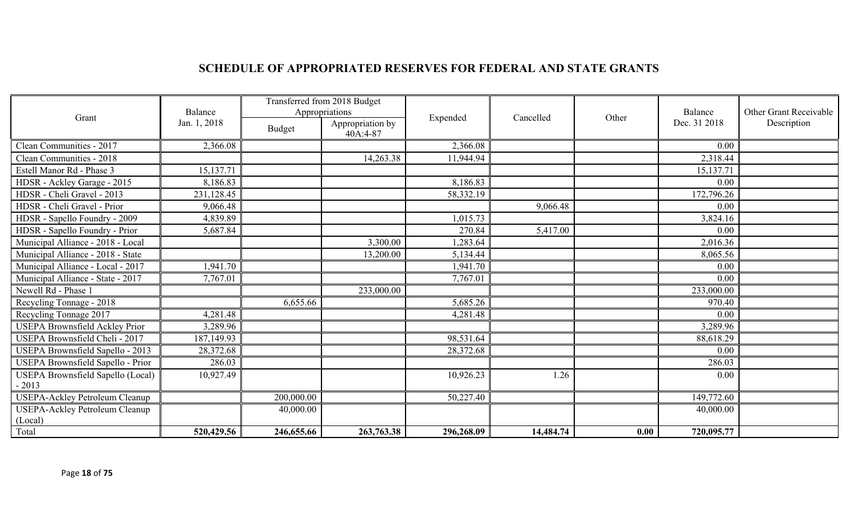# **SCHEDULE OF APPROPRIATED RESERVES FOR FEDERAL AND STATE GRANTS**

|                                          | Balance      | Transferred from 2018 Budget<br>Appropriations |                              |            |           |                       | Balance    | Other Grant Receivable |              |             |
|------------------------------------------|--------------|------------------------------------------------|------------------------------|------------|-----------|-----------------------|------------|------------------------|--------------|-------------|
| Grant                                    | Jan. 1, 2018 | Budget                                         | Appropriation by<br>40A:4-87 |            |           | Expended<br>Cancelled |            | Other                  | Dec. 31 2018 | Description |
| Clean Communities - 2017                 | 2,366.08     |                                                |                              | 2,366.08   |           |                       | 0.00       |                        |              |             |
| Clean Communities - 2018                 |              |                                                | 14,263.38                    | 11,944.94  |           |                       | 2,318.44   |                        |              |             |
| Estell Manor Rd - Phase 3                | 15,137.71    |                                                |                              |            |           |                       | 15,137.71  |                        |              |             |
| HDSR - Ackley Garage - 2015              | 8,186.83     |                                                |                              | 8,186.83   |           |                       | 0.00       |                        |              |             |
| HDSR - Cheli Gravel - 2013               | 231,128.45   |                                                |                              | 58,332.19  |           |                       | 172,796.26 |                        |              |             |
| HDSR - Cheli Gravel - Prior              | 9,066.48     |                                                |                              |            | 9,066.48  |                       | 0.00       |                        |              |             |
| HDSR - Sapello Foundry - 2009            | 4,839.89     |                                                |                              | 1,015.73   |           |                       | 3,824.16   |                        |              |             |
| HDSR - Sapello Foundry - Prior           | 5,687.84     |                                                |                              | 270.84     | 5,417.00  |                       | 0.00       |                        |              |             |
| Municipal Alliance - 2018 - Local        |              |                                                | 3,300.00                     | 1,283.64   |           |                       | 2,016.36   |                        |              |             |
| Municipal Alliance - 2018 - State        |              |                                                | 13,200.00                    | 5,134.44   |           |                       | 8,065.56   |                        |              |             |
| Municipal Alliance - Local - 2017        | 1,941.70     |                                                |                              | 1,941.70   |           |                       | 0.00       |                        |              |             |
| Municipal Alliance - State - 2017        | 7,767.01     |                                                |                              | 7,767.01   |           |                       | 0.00       |                        |              |             |
| Newell Rd - Phase 1                      |              |                                                | 233,000.00                   |            |           |                       | 233,000.00 |                        |              |             |
| Recycling Tonnage - 2018                 |              | 6,655.66                                       |                              | 5,685.26   |           |                       | 970.40     |                        |              |             |
| Recycling Tonnage 2017                   | 4,281.48     |                                                |                              | 4,281.48   |           |                       | 0.00       |                        |              |             |
| <b>USEPA Brownsfield Ackley Prior</b>    | 3,289.96     |                                                |                              |            |           |                       | 3,289.96   |                        |              |             |
| USEPA Brownsfield Cheli - 2017           | 187,149.93   |                                                |                              | 98,531.64  |           |                       | 88,618.29  |                        |              |             |
| USEPA Brownsfield Sapello - 2013         | 28,372.68    |                                                |                              | 28,372.68  |           |                       | 0.00       |                        |              |             |
| <b>USEPA Brownsfield Sapello - Prior</b> | 286.03       |                                                |                              |            |           |                       | 286.03     |                        |              |             |
| USEPA Brownsfield Sapello (Local)        | 10,927.49    |                                                |                              | 10,926.23  | 1.26      |                       | 0.00       |                        |              |             |
| $-2013$                                  |              |                                                |                              |            |           |                       |            |                        |              |             |
| <b>USEPA-Ackley Petroleum Cleanup</b>    |              | 200,000.00                                     |                              | 50,227.40  |           |                       | 149,772.60 |                        |              |             |
| <b>USEPA-Ackley Petroleum Cleanup</b>    |              | 40,000.00                                      |                              |            |           |                       | 40,000.00  |                        |              |             |
| (Local)                                  |              |                                                |                              |            |           |                       |            |                        |              |             |
| Total                                    | 520,429.56   | 246,655.66                                     | 263,763.38                   | 296,268.09 | 14,484.74 | 0.00                  | 720,095.77 |                        |              |             |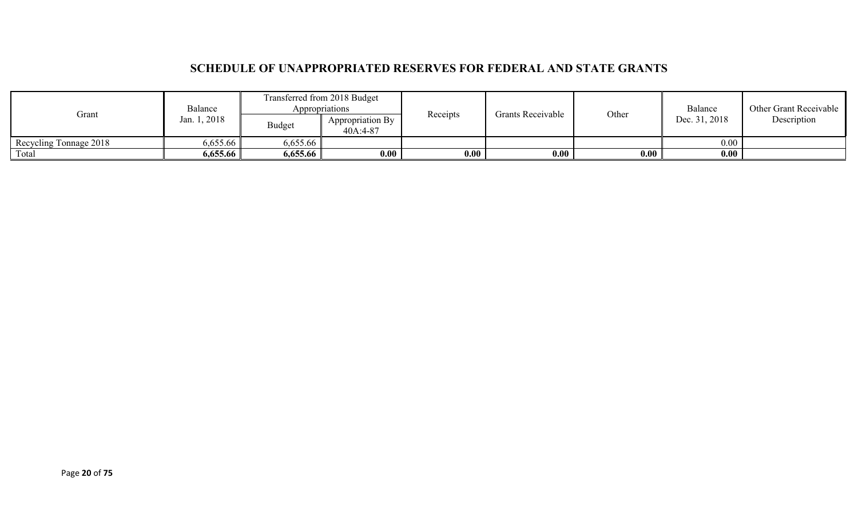## **SCHEDULE OF UNAPPROPRIATED RESERVES FOR FEDERAL AND STATE GRANTS**

| Grant                  | Balance      |               | Transferred from 2018 Budget<br>Appropriations<br>Receipts |      | <b>Grants Receivable</b> |       | Balance       | Other Grant Receivable |
|------------------------|--------------|---------------|------------------------------------------------------------|------|--------------------------|-------|---------------|------------------------|
|                        | Jan. 1, 2018 | <b>Budget</b> | Appropriation By<br>40A:4-87                               |      |                          | Other | Dec. 31, 2018 | Description            |
| Recycling Tonnage 2018 | 6,655.66     | 6,655.66      |                                                            |      |                          |       | 0.00          |                        |
| Total                  | 6,655.66     | 6,655.66      | 0.00                                                       | 0.00 | 0.00                     | 0.00  | 0.00          |                        |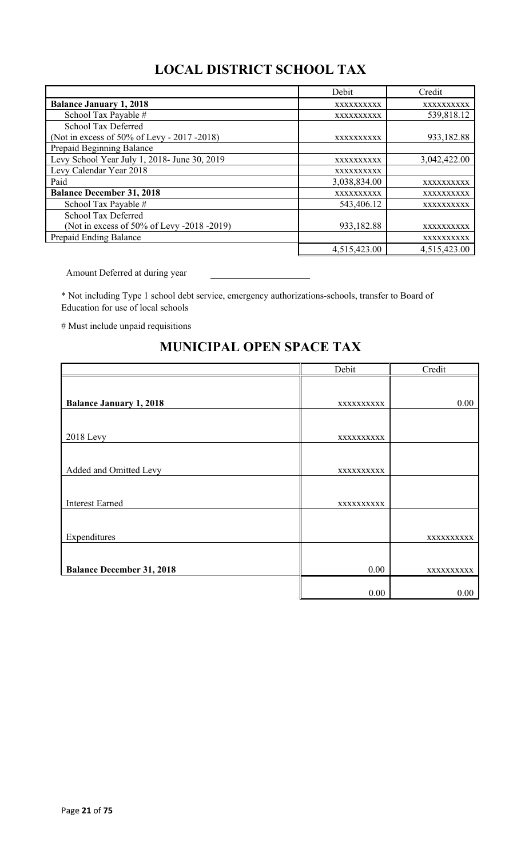# **LOCAL DISTRICT SCHOOL TAX**

|                                              | Debit        | Credit       |
|----------------------------------------------|--------------|--------------|
| <b>Balance January 1, 2018</b>               | XXXXXXXXXX   | XXXXXXXXXX   |
| School Tax Payable #                         | XXXXXXXXXX   | 539,818.12   |
| School Tax Deferred                          |              |              |
| (Not in excess of 50% of Levy - 2017 - 2018) | XXXXXXXXXX   | 933,182.88   |
| Prepaid Beginning Balance                    |              |              |
| Levy School Year July 1, 2018- June 30, 2019 | XXXXXXXXXX   | 3,042,422.00 |
| Levy Calendar Year 2018                      | XXXXXXXXXX   |              |
| Paid                                         | 3,038,834.00 | XXXXXXXXXX   |
| <b>Balance December 31, 2018</b>             | XXXXXXXXXX   | XXXXXXXXXX   |
| School Tax Payable #                         | 543,406.12   | XXXXXXXXXX   |
| School Tax Deferred                          |              |              |
| (Not in excess of 50% of Levy -2018 -2019)   | 933,182.88   | XXXXXXXXXX   |
| Prepaid Ending Balance                       |              | XXXXXXXXXX   |
|                                              | 4,515,423.00 | 4,515,423.00 |

Amount Deferred at during year

\* Not including Type 1 school debt service, emergency authorizations-schools, transfer to Board of Education for use of local schools

# Must include unpaid requisitions

|                                  | Debit      | Credit     |
|----------------------------------|------------|------------|
|                                  |            |            |
| <b>Balance January 1, 2018</b>   | XXXXXXXXXX | 0.00       |
|                                  |            |            |
| <b>2018</b> Levy                 | XXXXXXXXXX |            |
|                                  |            |            |
| Added and Omitted Levy           | XXXXXXXXXX |            |
|                                  |            |            |
| <b>Interest Earned</b>           | XXXXXXXXXX |            |
|                                  |            |            |
| Expenditures                     |            | XXXXXXXXXX |
|                                  |            |            |
| <b>Balance December 31, 2018</b> | 0.00       | XXXXXXXXXX |
|                                  |            |            |
|                                  | 0.00       | $0.00\,$   |

## **MUNICIPAL OPEN SPACE TAX**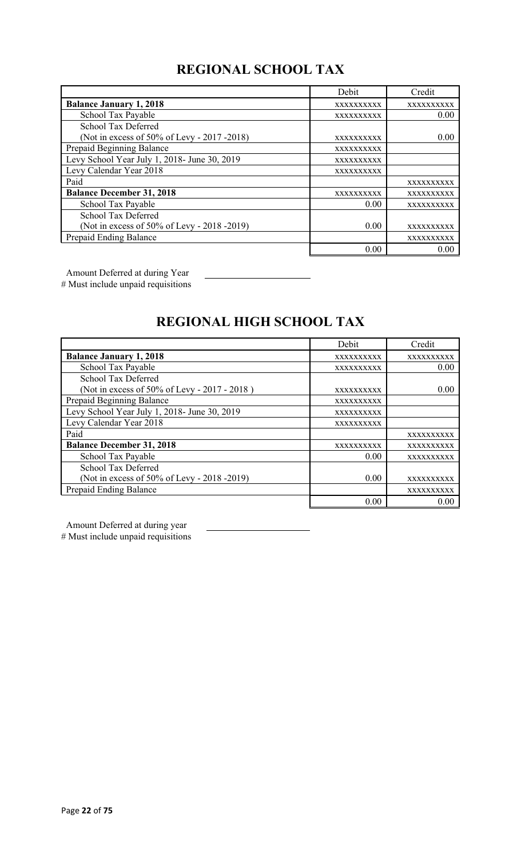# **REGIONAL SCHOOL TAX**

|                                              | Debit      | Credit     |
|----------------------------------------------|------------|------------|
| <b>Balance January 1, 2018</b>               | XXXXXXXXXX | XXXXXXXXXX |
| School Tax Payable                           | XXXXXXXXXX | 0.00       |
| School Tax Deferred                          |            |            |
| (Not in excess of 50% of Levy - 2017 -2018)  | XXXXXXXXXX | 0.00       |
| Prepaid Beginning Balance                    | XXXXXXXXXX |            |
| Levy School Year July 1, 2018- June 30, 2019 | XXXXXXXXXX |            |
| Levy Calendar Year 2018                      | XXXXXXXXXX |            |
| Paid                                         |            | XXXXXXXXXX |
| <b>Balance December 31, 2018</b>             | XXXXXXXXXX | XXXXXXXXXX |
| School Tax Payable                           | 0.00       | XXXXXXXXXX |
| <b>School Tax Deferred</b>                   |            |            |
| (Not in excess of 50% of Levy - 2018 -2019)  | 0.00       | XXXXXXXXXX |
| Prepaid Ending Balance                       |            | XXXXXXXXXX |
|                                              | 0.00       | 0.00       |

Amount Deferred at during Year

# Must include unpaid requisitions

# **REGIONAL HIGH SCHOOL TAX**

|                                              | Debit      | Credit     |
|----------------------------------------------|------------|------------|
| <b>Balance January 1, 2018</b>               | XXXXXXXXXX | XXXXXXXXXX |
| School Tax Payable                           | XXXXXXXXXX | 0.00       |
| <b>School Tax Deferred</b>                   |            |            |
| (Not in excess of 50% of Levy - 2017 - 2018) | XXXXXXXXXX | 0.00       |
| Prepaid Beginning Balance                    | XXXXXXXXXX |            |
| Levy School Year July 1, 2018- June 30, 2019 | XXXXXXXXXX |            |
| Levy Calendar Year 2018                      | XXXXXXXXXX |            |
| Paid                                         |            | XXXXXXXXXX |
| <b>Balance December 31, 2018</b>             | XXXXXXXXXX | XXXXXXXXXX |
| School Tax Payable                           | 0.00       | XXXXXXXXXX |
| School Tax Deferred                          |            |            |
| (Not in excess of 50% of Levy - 2018 -2019)  | 0.00       | XXXXXXXXXX |
| Prepaid Ending Balance                       |            | XXXXXXXXXX |
|                                              | 0.00       | 0.00       |

Amount Deferred at during year

# Must include unpaid requisitions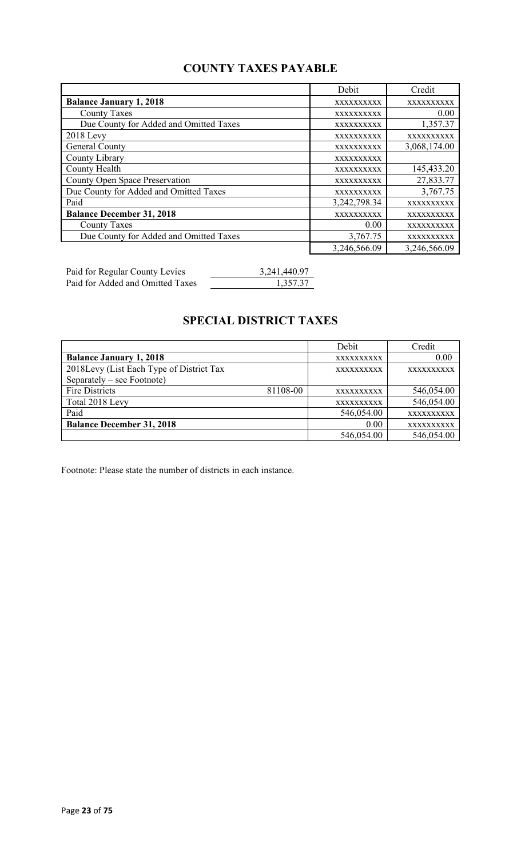# **COUNTY TAXES PAYABLE**

|                                        | Debit             | Credit       |
|----------------------------------------|-------------------|--------------|
| <b>Balance January 1, 2018</b>         | XXXXXXXXXX        | XXXXXXXXXX   |
| <b>County Taxes</b>                    | <b>XXXXXXXXXX</b> | 0.00         |
| Due County for Added and Omitted Taxes | XXXXXXXXXX        | 1,357.37     |
| $2018$ Levy                            | XXXXXXXXXX        | XXXXXXXXXX   |
| General County                         | XXXXXXXXXX        | 3,068,174.00 |
| County Library                         | XXXXXXXXXX        |              |
| County Health                          | XXXXXXXXXX        | 145,433.20   |
| County Open Space Preservation         | XXXXXXXXXX        | 27,833.77    |
| Due County for Added and Omitted Taxes | XXXXXXXXXX        | 3,767.75     |
| Paid                                   | 3,242,798.34      | XXXXXXXXXX   |
| <b>Balance December 31, 2018</b>       | XXXXXXXXXX        | XXXXXXXXXX   |
| <b>County Taxes</b>                    | 0.00              | XXXXXXXXXX   |
| Due County for Added and Omitted Taxes | 3,767.75          | XXXXXXXXXX   |
|                                        | 3,246,566.09      | 3,246,566.09 |

| Paid for Regular County Levies   | 3,241,440.97 |
|----------------------------------|--------------|
| Paid for Added and Omitted Taxes | 1,357.37     |

## **SPECIAL DISTRICT TAXES**

|                                          |          | Debit      | Credit     |
|------------------------------------------|----------|------------|------------|
| <b>Balance January 1, 2018</b>           |          | XXXXXXXXXX | 0.00       |
| 2018Levy (List Each Type of District Tax |          | XXXXXXXXXX | XXXXXXXXXX |
| Separately – see Footnote)               |          |            |            |
| Fire Districts                           | 81108-00 | XXXXXXXXXX | 546,054.00 |
| Total 2018 Levy                          |          | XXXXXXXXXX | 546,054.00 |
| Paid                                     |          | 546,054.00 | XXXXXXXXXX |
| <b>Balance December 31, 2018</b>         |          | 0.00       | XXXXXXXXXX |
|                                          |          | 546,054.00 | 546,054.00 |

Footnote: Please state the number of districts in each instance.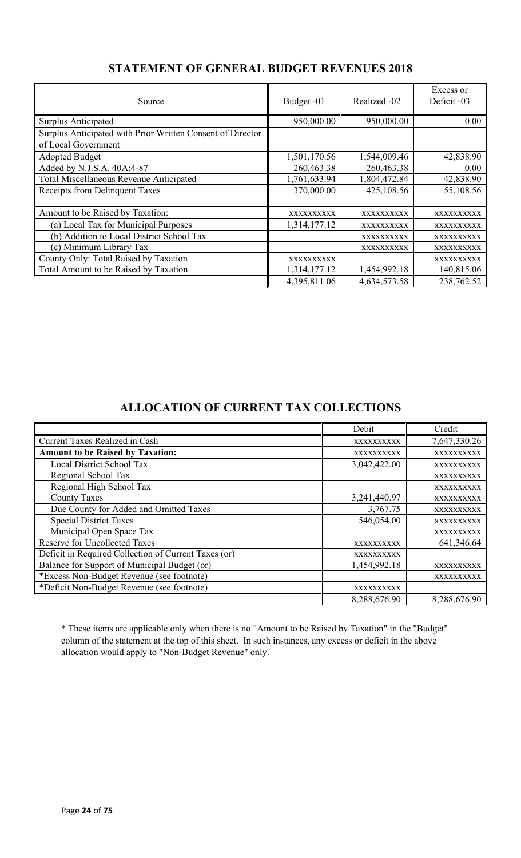| Source                                                     | Budget -01   | Realized -02 | Excess or<br>Deficit -03 |
|------------------------------------------------------------|--------------|--------------|--------------------------|
| Surplus Anticipated                                        | 950,000.00   | 950,000.00   | 0.00                     |
| Surplus Anticipated with Prior Written Consent of Director |              |              |                          |
| of Local Government                                        |              |              |                          |
| Adopted Budget                                             | 1,501,170.56 | 1,544,009.46 | 42,838.90                |
| Added by N.J.S.A. 40A:4-87                                 | 260,463.38   | 260,463.38   | 0.00                     |
| <b>Total Miscellaneous Revenue Anticipated</b>             | 1,761,633.94 | 1,804,472.84 | 42,838.90                |
| Receipts from Delinquent Taxes                             | 370,000.00   | 425,108.56   | 55,108.56                |
|                                                            |              |              |                          |
| Amount to be Raised by Taxation:                           | XXXXXXXXXX   | XXXXXXXXXX   | XXXXXXXXXX               |
| (a) Local Tax for Municipal Purposes                       | 1,314,177.12 | XXXXXXXXXX   | XXXXXXXXXX               |
| (b) Addition to Local District School Tax                  |              | XXXXXXXXXX   | XXXXXXXXXX               |
| (c) Minimum Library Tax                                    |              | XXXXXXXXXX   | <b>XXXXXXXXXX</b>        |
| County Only: Total Raised by Taxation                      | XXXXXXXXXX   |              | XXXXXXXXXX               |
| Total Amount to be Raised by Taxation                      | 1,314,177.12 | 1,454,992.18 | 140,815.06               |
|                                                            | 4,395,811.06 | 4,634,573.58 | 238,762.52               |

## **STATEMENT OF GENERAL BUDGET REVENUES 2018**

## **ALLOCATION OF CURRENT TAX COLLECTIONS**

|                                                      | Debit        | Credit       |
|------------------------------------------------------|--------------|--------------|
| <b>Current Taxes Realized in Cash</b>                | XXXXXXXXXX   | 7,647,330.26 |
| <b>Amount to be Raised by Taxation:</b>              | XXXXXXXXXX   | XXXXXXXXXX   |
| Local District School Tax                            | 3,042,422.00 | XXXXXXXXXX   |
| Regional School Tax                                  |              | XXXXXXXXXX   |
| Regional High School Tax                             |              | XXXXXXXXXX   |
| <b>County Taxes</b>                                  | 3,241,440.97 | XXXXXXXXXX   |
| Due County for Added and Omitted Taxes               | 3,767.75     | XXXXXXXXXX   |
| <b>Special District Taxes</b>                        | 546,054.00   | XXXXXXXXXX   |
| Municipal Open Space Tax                             |              | XXXXXXXXXX   |
| <b>Reserve for Uncollected Taxes</b>                 | XXXXXXXXXX   | 641,346.64   |
| Deficit in Required Collection of Current Taxes (or) | XXXXXXXXXX   |              |
| Balance for Support of Municipal Budget (or)         | 1,454,992.18 | XXXXXXXXXX   |
| *Excess Non-Budget Revenue (see footnote)            |              | XXXXXXXXXX   |
| *Deficit Non-Budget Revenue (see footnote)           | XXXXXXXXXX   |              |
|                                                      | 8,288,676.90 | 8,288,676.90 |

\* These items are applicable only when there is no "Amount to be Raised by Taxation" in the "Budget" column of the statement at the top of this sheet. In such instances, any excess or deficit in the above allocation would apply to "Non-Budget Revenue" only.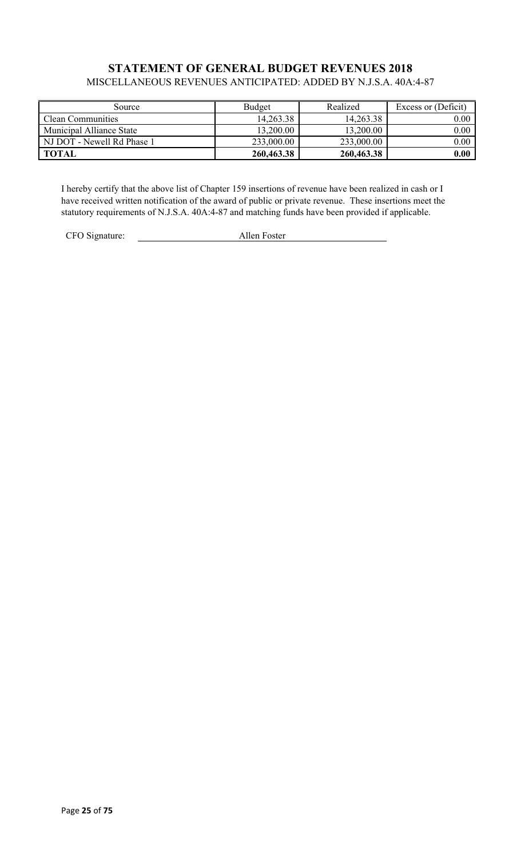### **STATEMENT OF GENERAL BUDGET REVENUES 2018** MISCELLANEOUS REVENUES ANTICIPATED: ADDED BY N.J.S.A. 40A:4-87

| Source                     | <b>Budget</b> | Realized   | Excess or (Deficit) |
|----------------------------|---------------|------------|---------------------|
| Clean Communities          | 14,263.38     | 14,263.38  | 0.00                |
| Municipal Alliance State   | 13,200.00     | 13,200.00  | 0.00                |
| NJ DOT - Newell Rd Phase 1 | 233,000.00    | 233,000.00 | 0.00                |
| <b>TOTAL</b>               | 260,463.38    | 260,463.38 | 0.00                |

I hereby certify that the above list of Chapter 159 insertions of revenue have been realized in cash or I have received written notification of the award of public or private revenue. These insertions meet the statutory requirements of N.J.S.A. 40A:4-87 and matching funds have been provided if applicable.

CFO Signature: <u>Allen Foster</u>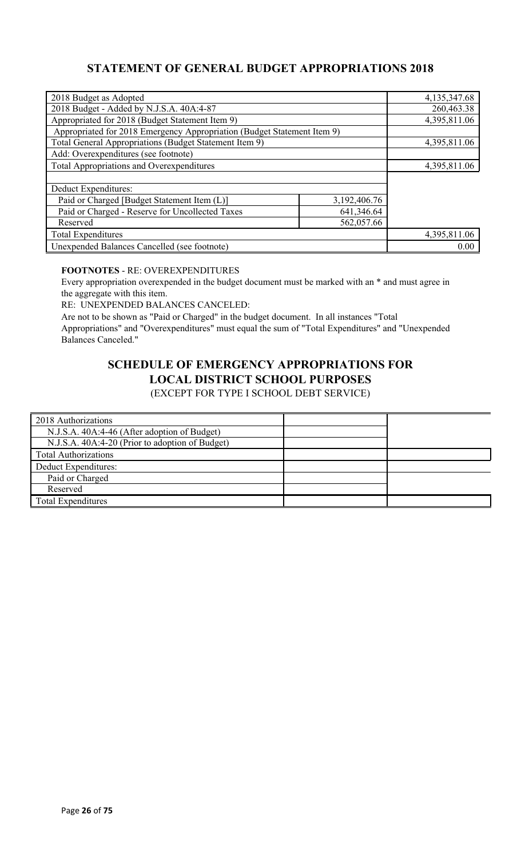## **STATEMENT OF GENERAL BUDGET APPROPRIATIONS 2018**

| 2018 Budget as Adopted                                                  |              | 4,135,347.68 |
|-------------------------------------------------------------------------|--------------|--------------|
| 2018 Budget - Added by N.J.S.A. 40A:4-87                                |              | 260,463.38   |
| Appropriated for 2018 (Budget Statement Item 9)                         |              | 4,395,811.06 |
| Appropriated for 2018 Emergency Appropriation (Budget Statement Item 9) |              |              |
| Total General Appropriations (Budget Statement Item 9)                  |              | 4,395,811.06 |
| Add: Overexpenditures (see footnote)                                    |              |              |
| <b>Total Appropriations and Overexpenditures</b>                        |              | 4,395,811.06 |
|                                                                         |              |              |
| Deduct Expenditures:                                                    |              |              |
| Paid or Charged [Budget Statement Item (L)]                             | 3,192,406.76 |              |
| Paid or Charged - Reserve for Uncollected Taxes<br>641,346.64           |              |              |
| 562,057.66<br>Reserved                                                  |              |              |
| <b>Total Expenditures</b>                                               |              | 4,395,811.06 |
| Unexpended Balances Cancelled (see footnote)                            |              | 0.00         |

### **FOOTNOTES** - RE: OVEREXPENDITURES

Every appropriation overexpended in the budget document must be marked with an \* and must agree in the aggregate with this item.

RE: UNEXPENDED BALANCES CANCELED:

Are not to be shown as "Paid or Charged" in the budget document. In all instances "Total Appropriations" and "Overexpenditures" must equal the sum of "Total Expenditures" and "Unexpended Balances Canceled."

# **SCHEDULE OF EMERGENCY APPROPRIATIONS FOR LOCAL DISTRICT SCHOOL PURPOSES**

(EXCEPT FOR TYPE I SCHOOL DEBT SERVICE)

| 2018 Authorizations                             |  |
|-------------------------------------------------|--|
| N.J.S.A. 40A:4-46 (After adoption of Budget)    |  |
| N.J.S.A. 40A:4-20 (Prior to adoption of Budget) |  |
| <b>Total Authorizations</b>                     |  |
| Deduct Expenditures:                            |  |
| Paid or Charged                                 |  |
| Reserved                                        |  |
| <b>Total Expenditures</b>                       |  |
|                                                 |  |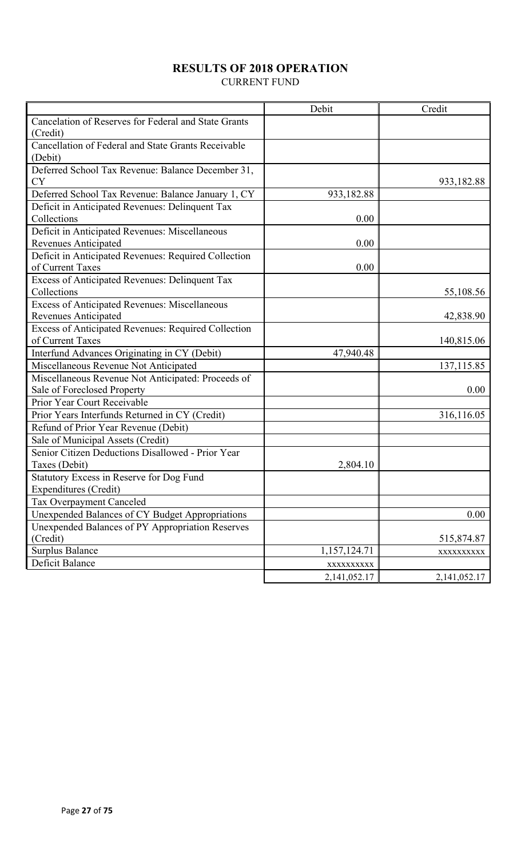## **RESULTS OF 2018 OPERATION**

CURRENT FUND

|                                                      | Debit        | Credit       |
|------------------------------------------------------|--------------|--------------|
| Cancelation of Reserves for Federal and State Grants |              |              |
| (Credit)                                             |              |              |
| Cancellation of Federal and State Grants Receivable  |              |              |
| (Debit)                                              |              |              |
| Deferred School Tax Revenue: Balance December 31,    |              |              |
| <b>CY</b>                                            |              | 933,182.88   |
| Deferred School Tax Revenue: Balance January 1, CY   | 933,182.88   |              |
| Deficit in Anticipated Revenues: Delinquent Tax      |              |              |
| Collections                                          | 0.00         |              |
| Deficit in Anticipated Revenues: Miscellaneous       |              |              |
| Revenues Anticipated                                 | 0.00         |              |
| Deficit in Anticipated Revenues: Required Collection |              |              |
| of Current Taxes                                     | 0.00         |              |
| Excess of Anticipated Revenues: Delinquent Tax       |              |              |
| Collections                                          |              | 55,108.56    |
| Excess of Anticipated Revenues: Miscellaneous        |              |              |
| <b>Revenues Anticipated</b>                          |              | 42,838.90    |
| Excess of Anticipated Revenues: Required Collection  |              |              |
| of Current Taxes                                     |              | 140,815.06   |
| Interfund Advances Originating in CY (Debit)         | 47,940.48    |              |
| Miscellaneous Revenue Not Anticipated                |              | 137, 115.85  |
| Miscellaneous Revenue Not Anticipated: Proceeds of   |              |              |
| Sale of Foreclosed Property                          |              | 0.00         |
| Prior Year Court Receivable                          |              |              |
| Prior Years Interfunds Returned in CY (Credit)       |              | 316,116.05   |
| Refund of Prior Year Revenue (Debit)                 |              |              |
| Sale of Municipal Assets (Credit)                    |              |              |
| Senior Citizen Deductions Disallowed - Prior Year    |              |              |
| Taxes (Debit)                                        | 2,804.10     |              |
| Statutory Excess in Reserve for Dog Fund             |              |              |
| Expenditures (Credit)                                |              |              |
| Tax Overpayment Canceled                             |              |              |
| Unexpended Balances of CY Budget Appropriations      |              | 0.00         |
| Unexpended Balances of PY Appropriation Reserves     |              |              |
| (Credit)                                             |              | 515,874.87   |
| <b>Surplus Balance</b>                               | 1,157,124.71 | XXXXXXXXXX   |
| Deficit Balance                                      | XXXXXXXXXX   |              |
|                                                      | 2,141,052.17 | 2,141,052.17 |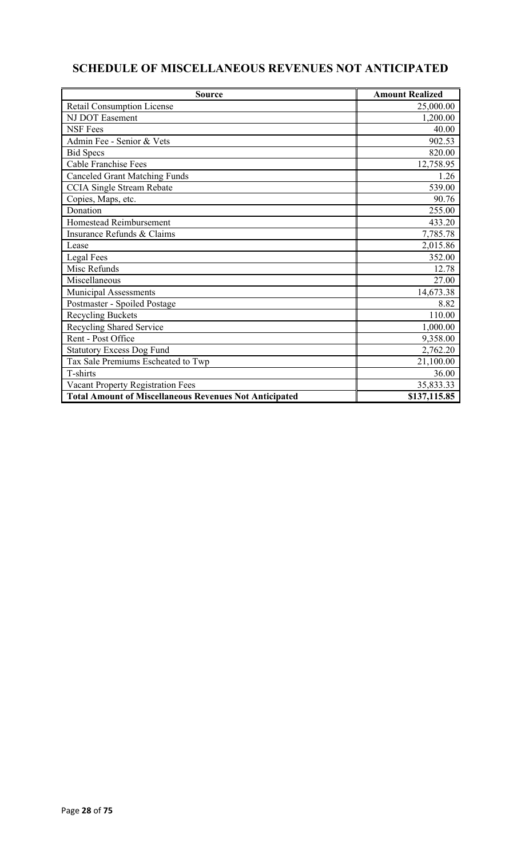# **SCHEDULE OF MISCELLANEOUS REVENUES NOT ANTICIPATED**

| <b>Source</b>                                                 | <b>Amount Realized</b> |
|---------------------------------------------------------------|------------------------|
| <b>Retail Consumption License</b>                             | 25,000.00              |
| NJ DOT Easement                                               | 1,200.00               |
| <b>NSF</b> Fees                                               | 40.00                  |
| Admin Fee - Senior & Vets                                     | 902.53                 |
| <b>Bid Specs</b>                                              | 820.00                 |
| <b>Cable Franchise Fees</b>                                   | 12,758.95              |
| <b>Canceled Grant Matching Funds</b>                          | 1.26                   |
| <b>CCIA Single Stream Rebate</b>                              | 539.00                 |
| Copies, Maps, etc.                                            | 90.76                  |
| Donation                                                      | 255.00                 |
| Homestead Reimbursement                                       | 433.20                 |
| Insurance Refunds & Claims                                    | 7,785.78               |
| Lease                                                         | 2,015.86               |
| Legal Fees                                                    | 352.00                 |
| Misc Refunds                                                  | 12.78                  |
| Miscellaneous                                                 | 27.00                  |
| Municipal Assessments                                         | 14,673.38              |
| Postmaster - Spoiled Postage                                  | 8.82                   |
| <b>Recycling Buckets</b>                                      | 110.00                 |
| <b>Recycling Shared Service</b>                               | 1,000.00               |
| Rent - Post Office                                            | 9,358.00               |
| <b>Statutory Excess Dog Fund</b>                              | 2,762.20               |
| Tax Sale Premiums Escheated to Twp                            | 21,100.00              |
| T-shirts                                                      | 36.00                  |
| Vacant Property Registration Fees                             | 35,833.33              |
| <b>Total Amount of Miscellaneous Revenues Not Anticipated</b> | \$137,115.85           |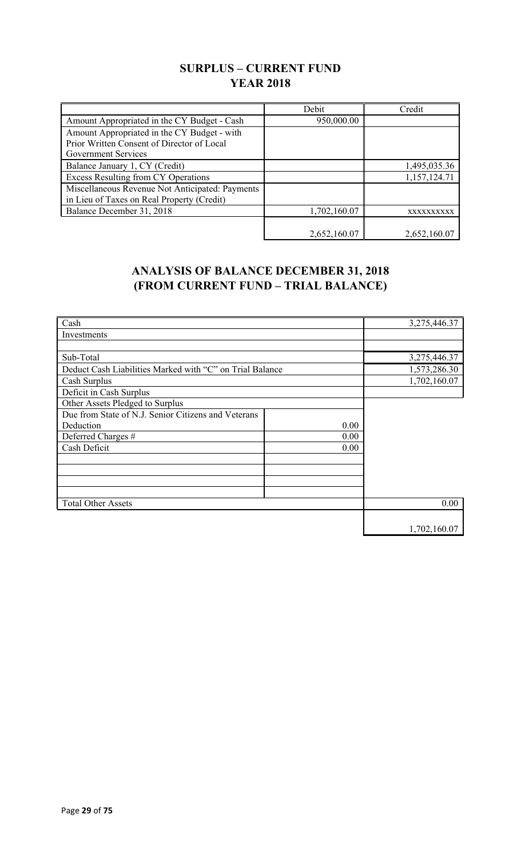## **SURPLUS – CURRENT FUND YEAR 2018**

|                                                 | Debit        | Credit       |
|-------------------------------------------------|--------------|--------------|
| Amount Appropriated in the CY Budget - Cash     | 950,000.00   |              |
| Amount Appropriated in the CY Budget - with     |              |              |
| Prior Written Consent of Director of Local      |              |              |
| Government Services                             |              |              |
| Balance January 1, CY (Credit)                  |              | 1,495,035.36 |
| <b>Excess Resulting from CY Operations</b>      |              | 1,157,124.71 |
| Miscellaneous Revenue Not Anticipated: Payments |              |              |
| in Lieu of Taxes on Real Property (Credit)      |              |              |
| Balance December 31, 2018                       | 1,702,160.07 | XXXXXXXXXX   |
|                                                 |              |              |
|                                                 | 2,652,160.07 | 2,652,160.07 |

## **ANALYSIS OF BALANCE DECEMBER 31, 2018 (FROM CURRENT FUND – TRIAL BALANCE)**

| Cash                                                     |      | 3,275,446.37 |
|----------------------------------------------------------|------|--------------|
| Investments                                              |      |              |
|                                                          |      |              |
| Sub-Total                                                |      | 3,275,446.37 |
| Deduct Cash Liabilities Marked with "C" on Trial Balance |      | 1,573,286.30 |
| Cash Surplus                                             |      | 1,702,160.07 |
| Deficit in Cash Surplus                                  |      |              |
| Other Assets Pledged to Surplus                          |      |              |
| Due from State of N.J. Senior Citizens and Veterans      |      |              |
| Deduction                                                | 0.00 |              |
| Deferred Charges #                                       | 0.00 |              |
| Cash Deficit                                             | 0.00 |              |
|                                                          |      |              |
|                                                          |      |              |
|                                                          |      |              |
|                                                          |      |              |
| <b>Total Other Assets</b>                                |      | 0.00         |
|                                                          |      |              |
|                                                          |      | 1,702,160.07 |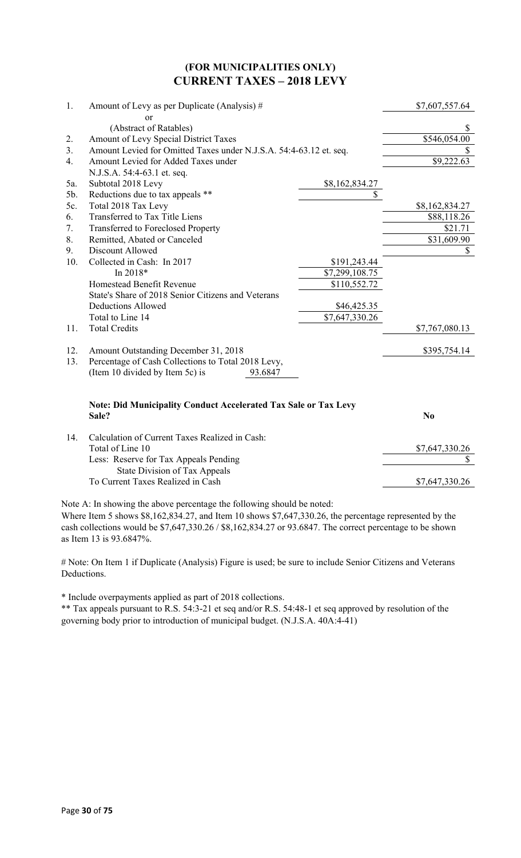### **(FOR MUNICIPALITIES ONLY) CURRENT TAXES – 2018 LEVY**

| 1.  | Amount of Levy as per Duplicate (Analysis) #                           |                | \$7,607,557.64 |
|-----|------------------------------------------------------------------------|----------------|----------------|
|     | or                                                                     |                |                |
|     | (Abstract of Ratables)                                                 |                | S              |
| 2.  | Amount of Levy Special District Taxes                                  |                | \$546,054.00   |
| 3.  | Amount Levied for Omitted Taxes under N.J.S.A. 54:4-63.12 et. seq.     |                |                |
| 4.  | Amount Levied for Added Taxes under                                    |                | \$9,222.63     |
|     | N.J.S.A. 54:4-63.1 et. seq.                                            |                |                |
| 5a. | Subtotal 2018 Levy                                                     | \$8,162,834.27 |                |
| 5b. | Reductions due to tax appeals **                                       | \$             |                |
| 5c. | Total 2018 Tax Levy                                                    |                | \$8,162,834.27 |
| 6.  | Transferred to Tax Title Liens                                         |                | \$88,118.26    |
| 7.  | <b>Transferred to Foreclosed Property</b>                              |                | \$21.71        |
| 8.  | Remitted, Abated or Canceled                                           |                | \$31,609.90    |
| 9.  | Discount Allowed                                                       |                | \$             |
| 10. | Collected in Cash: In 2017                                             | \$191,243.44   |                |
|     | In 2018*                                                               | \$7,299,108.75 |                |
|     | Homestead Benefit Revenue                                              | \$110,552.72   |                |
|     | State's Share of 2018 Senior Citizens and Veterans                     |                |                |
|     | <b>Deductions Allowed</b>                                              | \$46,425.35    |                |
|     | Total to Line 14                                                       | \$7,647,330.26 |                |
| 11. | <b>Total Credits</b>                                                   |                | \$7,767,080.13 |
| 12. | Amount Outstanding December 31, 2018                                   |                | \$395,754.14   |
| 13. | Percentage of Cash Collections to Total 2018 Levy,                     |                |                |
|     | (Item 10 divided by Item 5c) is<br>93.6847                             |                |                |
|     | <b>Note: Did Municipality Conduct Accelerated Tax Sale or Tax Levy</b> |                |                |
|     | Sale?                                                                  |                | N <sub>0</sub> |
| 14. | Calculation of Current Taxes Realized in Cash:                         |                |                |
|     | Total of Line 10                                                       |                | \$7,647,330.26 |
|     | Less: Reserve for Tax Appeals Pending                                  |                | \$             |
|     | State Division of Tax Appeals                                          |                |                |

To Current Taxes Realized in Cash  $\overline{a}$  \$7,647,330.26

Note A: In showing the above percentage the following should be noted:

Where Item 5 shows \$8,162,834.27, and Item 10 shows \$7,647,330.26, the percentage represented by the cash collections would be \$7,647,330.26 / \$8,162,834.27 or 93.6847. The correct percentage to be shown as Item 13 is 93.6847%.

# Note: On Item 1 if Duplicate (Analysis) Figure is used; be sure to include Senior Citizens and Veterans Deductions.

\* Include overpayments applied as part of 2018 collections.

\*\* Tax appeals pursuant to R.S. 54:3-21 et seq and/or R.S. 54:48-1 et seq approved by resolution of the governing body prior to introduction of municipal budget. (N.J.S.A. 40A:4-41)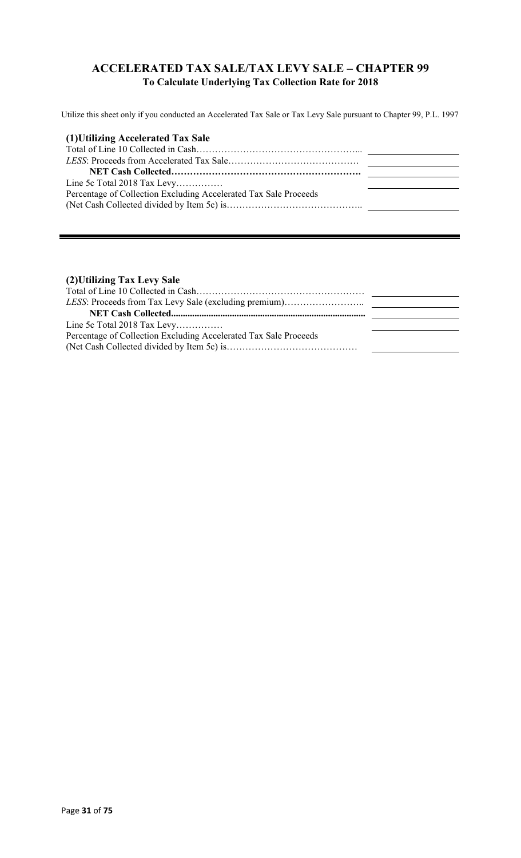### **ACCELERATED TAX SALE/TAX LEVY SALE – CHAPTER 99 To Calculate Underlying Tax Collection Rate for 2018**

Utilize this sheet only if you conducted an Accelerated Tax Sale or Tax Levy Sale pursuant to Chapter 99, P.L. 1997

| (1) Utilizing Accelerated Tax Sale                               |  |
|------------------------------------------------------------------|--|
|                                                                  |  |
|                                                                  |  |
|                                                                  |  |
| Line 5c Total 2018 Tax Levy                                      |  |
| Percentage of Collection Excluding Accelerated Tax Sale Proceeds |  |
|                                                                  |  |

### **(2)Utilizing Tax Levy Sale**

| Line 5c Total 2018 Tax Levy                                      |  |
|------------------------------------------------------------------|--|
| Percentage of Collection Excluding Accelerated Tax Sale Proceeds |  |
|                                                                  |  |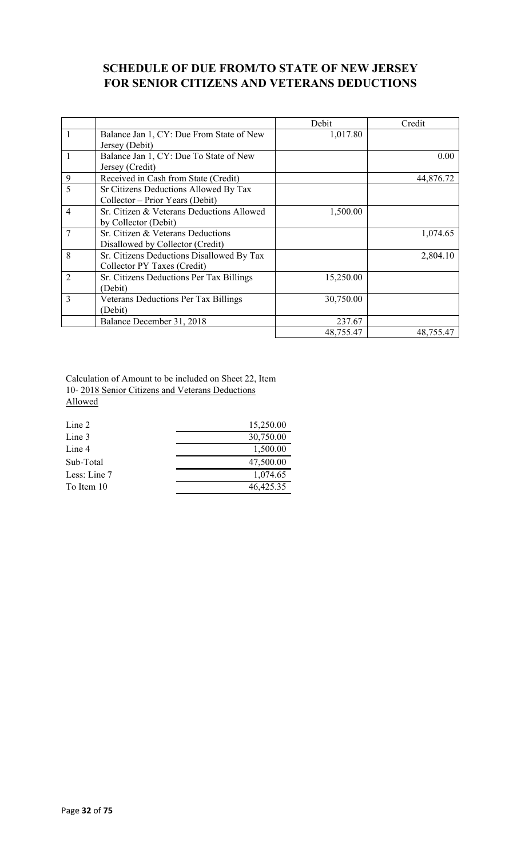## **SCHEDULE OF DUE FROM/TO STATE OF NEW JERSEY FOR SENIOR CITIZENS AND VETERANS DEDUCTIONS**

|                |                                             | Debit     | Credit    |
|----------------|---------------------------------------------|-----------|-----------|
| 1              | Balance Jan 1, CY: Due From State of New    | 1,017.80  |           |
|                | Jersey (Debit)                              |           |           |
|                | Balance Jan 1, CY: Due To State of New      |           | 0.00      |
|                | Jersey (Credit)                             |           |           |
| 9              | Received in Cash from State (Credit)        |           | 44,876.72 |
| 5              | Sr Citizens Deductions Allowed By Tax       |           |           |
|                | Collector – Prior Years (Debit)             |           |           |
| $\overline{4}$ | Sr. Citizen & Veterans Deductions Allowed   | 1,500.00  |           |
|                | by Collector (Debit)                        |           |           |
|                | Sr. Citizen & Veterans Deductions           |           | 1,074.65  |
|                | Disallowed by Collector (Credit)            |           |           |
| 8              | Sr. Citizens Deductions Disallowed By Tax   |           | 2,804.10  |
|                | Collector PY Taxes (Credit)                 |           |           |
| $\overline{2}$ | Sr. Citizens Deductions Per Tax Billings    | 15,250.00 |           |
|                | (Debit)                                     |           |           |
| 3              | <b>Veterans Deductions Per Tax Billings</b> | 30,750.00 |           |
|                | (Debit)                                     |           |           |
|                | Balance December 31, 2018                   | 237.67    |           |
|                |                                             | 48,755.47 | 48,755.47 |

Calculation of Amount to be included on Sheet 22, Item 10- 2018 Senior Citizens and Veterans Deductions Allowed

| Line 2       | 15,250.00 |
|--------------|-----------|
| Line 3       | 30,750.00 |
| Line 4       | 1,500.00  |
| Sub-Total    | 47,500.00 |
| Less: Line 7 | 1,074.65  |
| To Item 10   | 46,425.35 |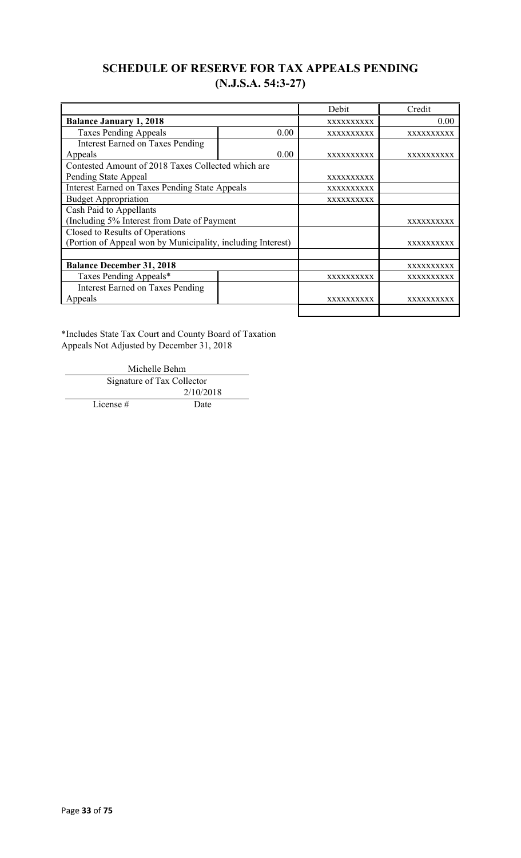## **SCHEDULE OF RESERVE FOR TAX APPEALS PENDING (N.J.S.A. 54:3-27)**

|                                                             |                   | Debit             | Credit            |
|-------------------------------------------------------------|-------------------|-------------------|-------------------|
| <b>Balance January 1, 2018</b>                              |                   | XXXXXXXXXX        | 0.00              |
| <b>Taxes Pending Appeals</b>                                | 0.00              | <b>XXXXXXXXXX</b> | <b>XXXXXXXXXX</b> |
| <b>Interest Earned on Taxes Pending</b>                     |                   |                   |                   |
| Appeals                                                     | 0.00              | <b>XXXXXXXXXX</b> | XXXXXXXXXX        |
| Contested Amount of 2018 Taxes Collected which are          |                   |                   |                   |
| Pending State Appeal                                        |                   | <b>XXXXXXXXXX</b> |                   |
| <b>Interest Earned on Taxes Pending State Appeals</b>       |                   | XXXXXXXXXX        |                   |
| <b>Budget Appropriation</b>                                 |                   | XXXXXXXXXX        |                   |
| Cash Paid to Appellants                                     |                   |                   |                   |
| (Including 5% Interest from Date of Payment                 |                   |                   | XXXXXXXXXX        |
| Closed to Results of Operations                             |                   |                   |                   |
| (Portion of Appeal won by Municipality, including Interest) |                   |                   | XXXXXXXXXX        |
|                                                             |                   |                   |                   |
| <b>Balance December 31, 2018</b>                            |                   |                   | XXXXXXXXXX        |
| Taxes Pending Appeals*                                      |                   | XXXXXXXXXX        | XXXXXXXXXX        |
| <b>Interest Earned on Taxes Pending</b>                     |                   |                   |                   |
| Appeals                                                     | <b>XXXXXXXXXX</b> | xxxxxxxxxx        |                   |
|                                                             |                   |                   |                   |

\*Includes State Tax Court and County Board of Taxation Appeals Not Adjusted by December 31, 2018

> Michelle Behm Signature of Tax Collector 2/10/2018

License # Date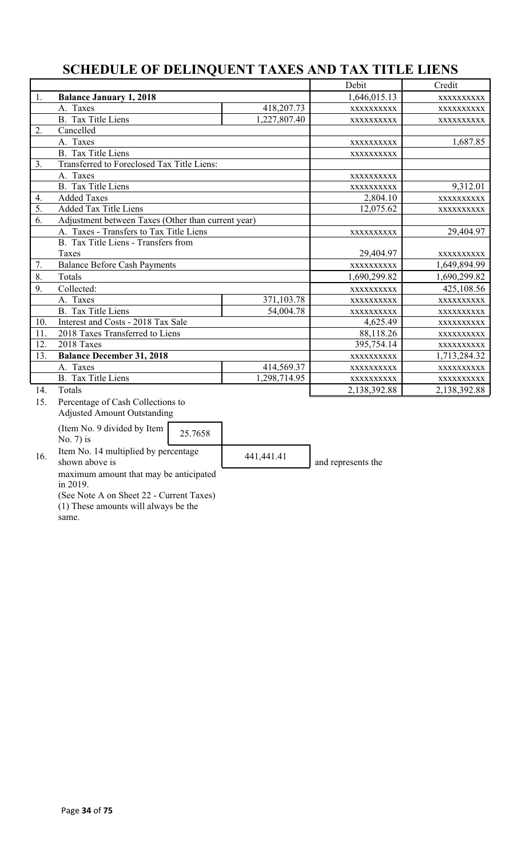# **SCHEDULE OF DELINQUENT TAXES AND TAX TITLE LIENS**

|                                                          |              | Debit             | Credit       |
|----------------------------------------------------------|--------------|-------------------|--------------|
| 1.<br><b>Balance January 1, 2018</b>                     |              |                   | XXXXXXXXXX   |
| A. Taxes                                                 | 418,207.73   | <b>XXXXXXXXXX</b> | XXXXXXXXXX   |
| <b>B.</b> Tax Title Liens                                | 1,227,807.40 | XXXXXXXXXX        | XXXXXXXXXX   |
| Cancelled<br>2.                                          |              |                   |              |
| A. Taxes                                                 |              | XXXXXXXXXX        | 1,687.85     |
| <b>B.</b> Tax Title Liens                                |              | XXXXXXXXXX        |              |
| Transferred to Foreclosed Tax Title Liens:<br>3.         |              |                   |              |
| A. Taxes                                                 |              | XXXXXXXXXX        |              |
| <b>B.</b> Tax Title Liens                                |              | XXXXXXXXXX        | 9,312.01     |
| 4.<br><b>Added Taxes</b>                                 |              | 2,804.10          | XXXXXXXXXX   |
| 5.<br><b>Added Tax Title Liens</b>                       |              | 12,075.62         | XXXXXXXXXX   |
| 6.<br>Adjustment between Taxes (Other than current year) |              |                   |              |
| A. Taxes - Transfers to Tax Title Liens                  |              | XXXXXXXXXX        | 29,404.97    |
| B. Tax Title Liens - Transfers from                      |              |                   |              |
| Taxes                                                    |              |                   |              |
| <b>Balance Before Cash Payments</b><br>7.                |              |                   | 1,649,894.99 |
| 8.<br>Totals                                             |              |                   | 1,690,299.82 |
| 9.<br>Collected:                                         |              | XXXXXXXXXX        | 425,108.56   |
| A. Taxes                                                 | 371,103.78   | XXXXXXXXXX        | XXXXXXXXXX   |
| <b>B.</b> Tax Title Liens                                | 54,004.78    | XXXXXXXXXX        | XXXXXXXXXX   |
| Interest and Costs - 2018 Tax Sale<br>10.                |              | 4,625.49          | XXXXXXXXXX   |
| 11.<br>2018 Taxes Transferred to Liens                   |              | 88,118.26         | XXXXXXXXXX   |
| 12.<br>2018 Taxes                                        |              | 395,754.14        | XXXXXXXXXX   |
| 13.<br><b>Balance December 31, 2018</b>                  |              |                   | 1,713,284.32 |
| A. Taxes                                                 | 414,569.37   | XXXXXXXXXX        | XXXXXXXXXX   |
| <b>B.</b> Tax Title Liens                                | 1,298,714.95 | XXXXXXXXXX        | XXXXXXXXXX   |
| 14.<br>Totals                                            |              | 2,138,392.88      | 2,138,392.88 |
| Percentage of Cash Collections to<br>15.                 |              |                   |              |
| <b>Adjusted Amount Outstanding</b>                       |              |                   |              |

(Item No. 9 divided by Item  $\begin{bmatrix} 25.7658 \end{bmatrix}$ 

16. Item No. 14 multiplied by percentage  $\begin{array}{|l|l|}\n 441,441.41 & \text{and represents the}\n\end{array}$ 

maximum amount that may be anticipated in 2019.

(See Note A on Sheet 22 - Current Taxes) (1) These amounts will always be the

same.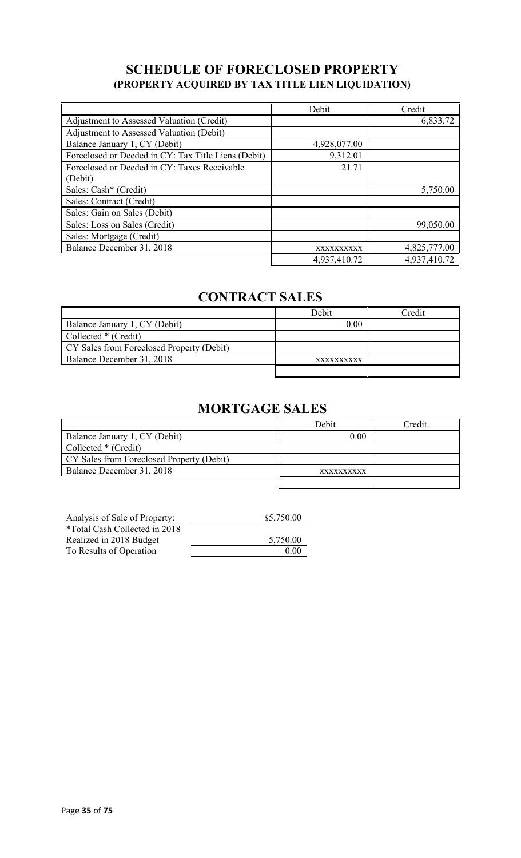## **SCHEDULE OF FORECLOSED PROPERTY (PROPERTY ACQUIRED BY TAX TITLE LIEN LIQUIDATION)**

|                                                     | Debit        | Credit       |
|-----------------------------------------------------|--------------|--------------|
| Adjustment to Assessed Valuation (Credit)           |              | 6,833.72     |
| Adjustment to Assessed Valuation (Debit)            |              |              |
| Balance January 1, CY (Debit)                       | 4,928,077.00 |              |
| Foreclosed or Deeded in CY: Tax Title Liens (Debit) | 9,312.01     |              |
| Foreclosed or Deeded in CY: Taxes Receivable        | 21.71        |              |
| (Debit)                                             |              |              |
| Sales: Cash* (Credit)                               |              | 5,750.00     |
| Sales: Contract (Credit)                            |              |              |
| Sales: Gain on Sales (Debit)                        |              |              |
| Sales: Loss on Sales (Credit)                       |              | 99,050.00    |
| Sales: Mortgage (Credit)                            |              |              |
| Balance December 31, 2018                           | XXXXXXXXXX   | 4,825,777.00 |
|                                                     | 4,937,410.72 | 4,937,410.72 |

# **CONTRACT SALES**

|                                           | Debit      | Credit |
|-------------------------------------------|------------|--------|
| Balance January 1, CY (Debit)             | 0.00       |        |
| Collected * (Credit)                      |            |        |
| CY Sales from Foreclosed Property (Debit) |            |        |
| Balance December 31, 2018                 | XXXXXXXXXX |        |
|                                           |            |        |

# **MORTGAGE SALES**

|                                           | Debit      | Credit |
|-------------------------------------------|------------|--------|
| Balance January 1, CY (Debit)             | 0.00       |        |
| Collected * (Credit)                      |            |        |
| CY Sales from Foreclosed Property (Debit) |            |        |
| Balance December 31, 2018                 | XXXXXXXXXX |        |
|                                           |            |        |

| Analysis of Sale of Property: | \$5,750.00 |
|-------------------------------|------------|
| *Total Cash Collected in 2018 |            |
| Realized in 2018 Budget       | 5,750.00   |
| To Results of Operation       | 0.00       |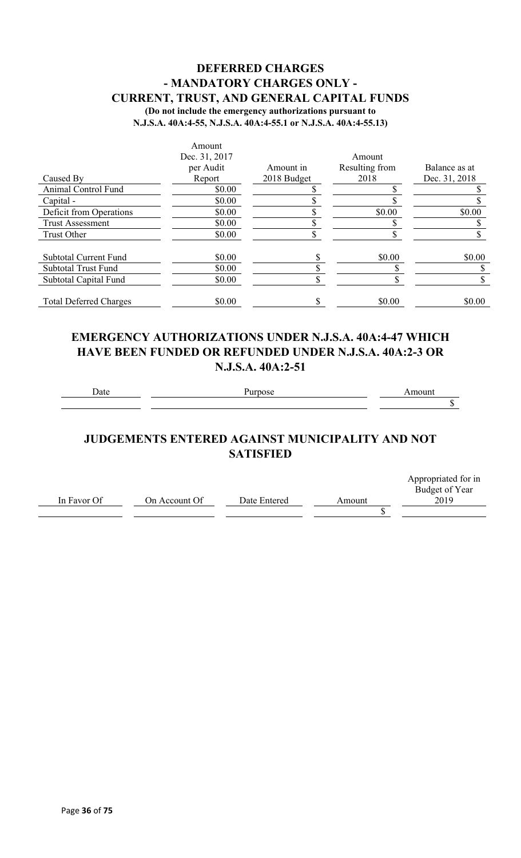### **DEFERRED CHARGES - MANDATORY CHARGES ONLY - CURRENT, TRUST, AND GENERAL CAPITAL FUNDS (Do not include the emergency authorizations pursuant to**

**N.J.S.A. 40A:4-55, N.J.S.A. 40A:4-55.1 or N.J.S.A. 40A:4-55.13)**

|                               | Amount        |             |                |               |
|-------------------------------|---------------|-------------|----------------|---------------|
|                               | Dec. 31, 2017 |             | Amount         |               |
|                               | per Audit     | Amount in   | Resulting from | Balance as at |
| Caused By                     | Report        | 2018 Budget | 2018           | Dec. 31, 2018 |
| Animal Control Fund           | \$0.00        |             |                |               |
| Capital -                     | \$0.00        |             |                |               |
| Deficit from Operations       | \$0.00        |             | \$0.00         | \$0.00        |
| <b>Trust Assessment</b>       | \$0.00        |             |                |               |
| Trust Other                   | \$0.00        |             |                |               |
| <b>Subtotal Current Fund</b>  | \$0.00        |             | \$0.00         | \$0.00        |
| <b>Subtotal Trust Fund</b>    | \$0.00        |             |                |               |
| Subtotal Capital Fund         | \$0.00        |             |                |               |
| <b>Total Deferred Charges</b> | \$0.00        |             | \$0.00         | \$0.00        |

### **EMERGENCY AUTHORIZATIONS UNDER N.J.S.A. 40A:4-47 WHICH HAVE BEEN FUNDED OR REFUNDED UNDER N.J.S.A. 40A:2-3 OR N.J.S.A. 40A:2-51**

Date Purpose **Purpose** Amount

 $\overline{\$}$ 

## **JUDGEMENTS ENTERED AGAINST MUNICIPALITY AND NOT SATISFIED**

|             |               |              |        | Appropriated for in |
|-------------|---------------|--------------|--------|---------------------|
|             |               |              |        | Budget of Year      |
| In Favor Of | On Account Of | Date Entered | Amount | 2019                |
|             |               |              |        |                     |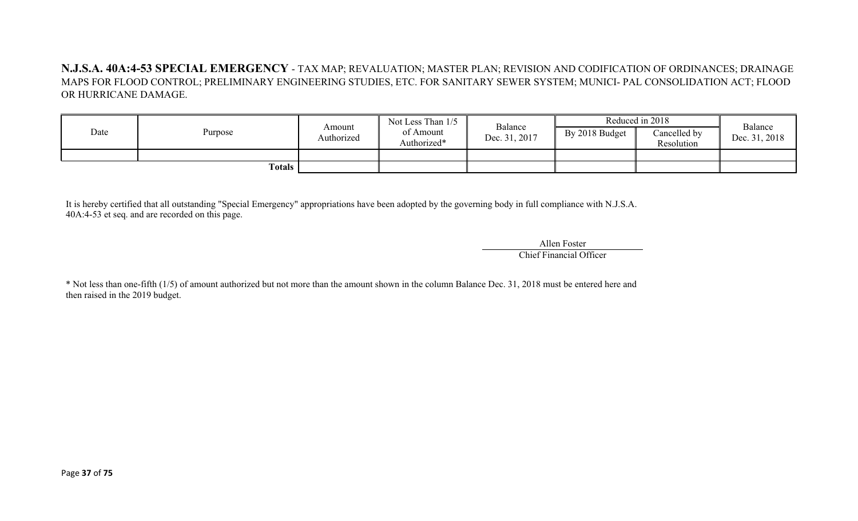**N.J.S.A. 40A:4-53 SPECIAL EMERGENCY** - TAX MAP; REVALUATION; MASTER PLAN; REVISION AND CODIFICATION OF ORDINANCES; DRAINAGE MAPS FOR FLOOD CONTROL; PRELIMINARY ENGINEERING STUDIES, ETC. FOR SANITARY SEWER SYSTEM; MUNICI- PAL CONSOLIDATION ACT; FLOOD OR HURRICANE DAMAGE.

| Date | Purpose | Amount<br>Authorized | Not Less Than 1/5<br>of Amount<br>Authorized* | Balance<br>Dec. 31, 2017 | By 2018 Budget | Reduced in 2018<br>Cancelled by<br>Resolution | Balance<br>Dec. 31, 2018 |
|------|---------|----------------------|-----------------------------------------------|--------------------------|----------------|-----------------------------------------------|--------------------------|
|      | Totals  |                      |                                               |                          |                |                                               |                          |

It is hereby certified that all outstanding "Special Emergency" appropriations have been adopted by the governing body in full compliance with N.J.S.A. 40A:4-53 et seq. and are recorded on this page.

> Allen Foster Chief Financial Officer

\* Not less than one-fifth (1/5) of amount authorized but not more than the amount shown in the column Balance Dec. 31, 2018 must be entered here and then raised in the 2019 budget.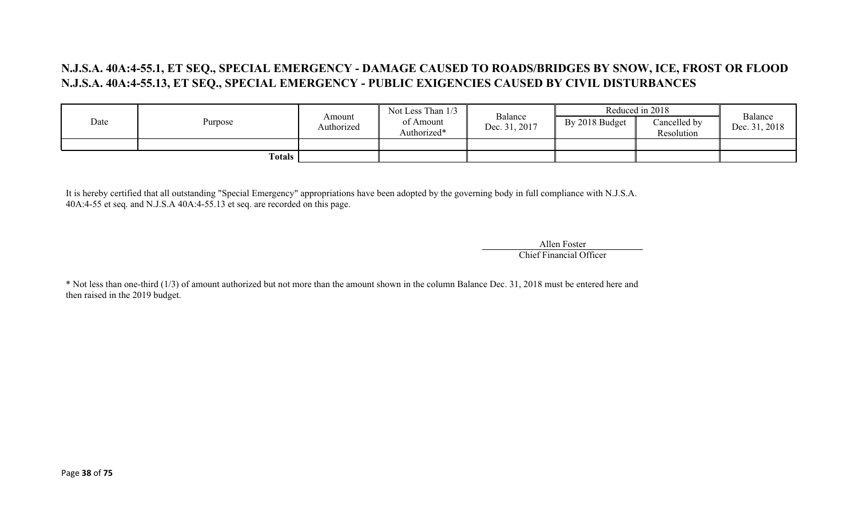### **N.J.S.A. 40A:4-55.1, ET SEQ., SPECIAL EMERGENCY - DAMAGE CAUSED TO ROADS/BRIDGES BY SNOW, ICE, FROST OR FLOOD N.J.S.A. 40A:4-55.13, ET SEQ., SPECIAL EMERGENCY - PUBLIC EXIGENCIES CAUSED BY CIVIL DISTURBANCES**

|      |         | Not Less Than 1/3    | Reduced in 2018          |                          | Balance        |                            |               |
|------|---------|----------------------|--------------------------|--------------------------|----------------|----------------------------|---------------|
| Date | Purpose | Amount<br>Authorized | of Amount<br>Authorized* | Balance<br>Dec. 31, 2017 | By 2018 Budget | Cancelled by<br>Resolution | Dec. 31, 2018 |
|      |         |                      |                          |                          |                |                            |               |
|      | Totals  |                      |                          |                          |                |                            |               |

It is hereby certified that all outstanding "Special Emergency" appropriations have been adopted by the governing body in full compliance with N.J.S.A. 40A:4-55 et seq. and N.J.S.A 40A:4-55.13 et seq. are recorded on this page.

> Allen Foster Chief Financial Officer

\* Not less than one-third (1/3) of amount authorized but not more than the amount shown in the column Balance Dec. 31, 2018 must be entered here and then raised in the 2019 budget.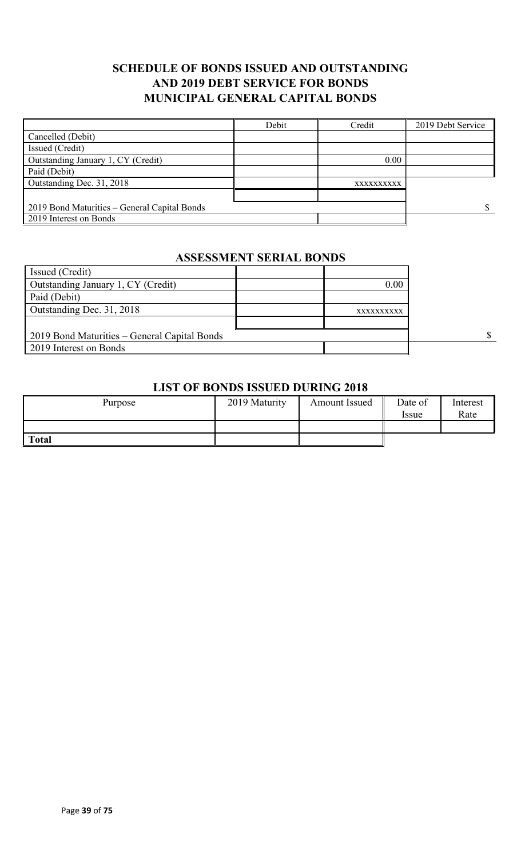### **SCHEDULE OF BONDS ISSUED AND OUTSTANDING AND 2019 DEBT SERVICE FOR BONDS MUNICIPAL GENERAL CAPITAL BONDS**

|                                              | Debit | Credit     | 2019 Debt Service |
|----------------------------------------------|-------|------------|-------------------|
| Cancelled (Debit)                            |       |            |                   |
| Issued (Credit)                              |       |            |                   |
| Outstanding January 1, CY (Credit)           |       | 0.00       |                   |
| Paid (Debit)                                 |       |            |                   |
| Outstanding Dec. 31, 2018                    |       | XXXXXXXXXX |                   |
|                                              |       |            |                   |
| 2019 Bond Maturities – General Capital Bonds |       |            |                   |
| 2019 Interest on Bonds                       |       |            |                   |

#### **ASSESSMENT SERIAL BONDS**

| Issued (Credit)                              |            |              |
|----------------------------------------------|------------|--------------|
| Outstanding January 1, CY (Credit)           | 0.00       |              |
| Paid (Debit)                                 |            |              |
| Outstanding Dec. 31, 2018                    | XXXXXXXXXX |              |
|                                              |            |              |
| 2019 Bond Maturities – General Capital Bonds |            | $\mathbf{s}$ |
| 2019 Interest on Bonds                       |            |              |

#### **LIST OF BONDS ISSUED DURING 2018**

| Purpose      | 2019 Maturity | Amount Issued | Date of<br>Issue | Interest<br>Rate |
|--------------|---------------|---------------|------------------|------------------|
|              |               |               |                  |                  |
| <b>Total</b> |               |               |                  |                  |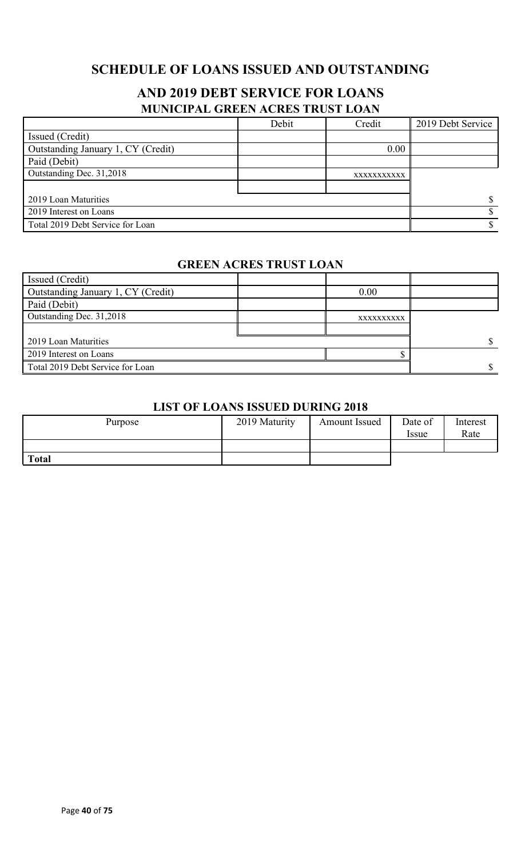## **SCHEDULE OF LOANS ISSUED AND OUTSTANDING**

## **AND 2019 DEBT SERVICE FOR LOANS MUNICIPAL GREEN ACRES TRUST LOAN**

|                                    | Debit | Credit      | 2019 Debt Service |
|------------------------------------|-------|-------------|-------------------|
| Issued (Credit)                    |       |             |                   |
| Outstanding January 1, CY (Credit) |       | 0.00        |                   |
| Paid (Debit)                       |       |             |                   |
| Outstanding Dec. 31,2018           |       | XXXXXXXXXXX |                   |
|                                    |       |             |                   |
| 2019 Loan Maturities               |       |             |                   |
| 2019 Interest on Loans             |       |             |                   |
| Total 2019 Debt Service for Loan   |       |             |                   |

#### **GREEN ACRES TRUST LOAN**

| Issued (Credit)                    |            |  |
|------------------------------------|------------|--|
| Outstanding January 1, CY (Credit) | 0.00       |  |
| Paid (Debit)                       |            |  |
| Outstanding Dec. 31,2018           | XXXXXXXXXX |  |
|                                    |            |  |
| 2019 Loan Maturities               |            |  |
| 2019 Interest on Loans             |            |  |
| Total 2019 Debt Service for Loan   |            |  |

#### **LIST OF LOANS ISSUED DURING 2018**

| Purpose      | 2019 Maturity | <b>Amount Issued</b> | Date of<br><i>Issue</i> | Interest<br>Rate |
|--------------|---------------|----------------------|-------------------------|------------------|
|              |               |                      |                         |                  |
| <b>Total</b> |               |                      |                         |                  |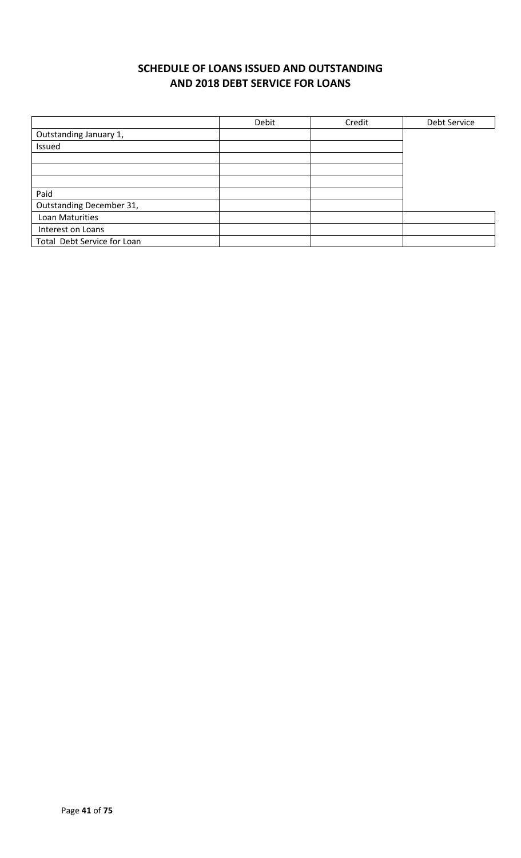## **SCHEDULE OF LOANS ISSUED AND OUTSTANDING AND 2018 DEBT SERVICE FOR LOANS**

|                             | Debit | Credit | Debt Service |
|-----------------------------|-------|--------|--------------|
| Outstanding January 1,      |       |        |              |
| Issued                      |       |        |              |
|                             |       |        |              |
|                             |       |        |              |
|                             |       |        |              |
| Paid                        |       |        |              |
| Outstanding December 31,    |       |        |              |
| Loan Maturities             |       |        |              |
| Interest on Loans           |       |        |              |
| Total Debt Service for Loan |       |        |              |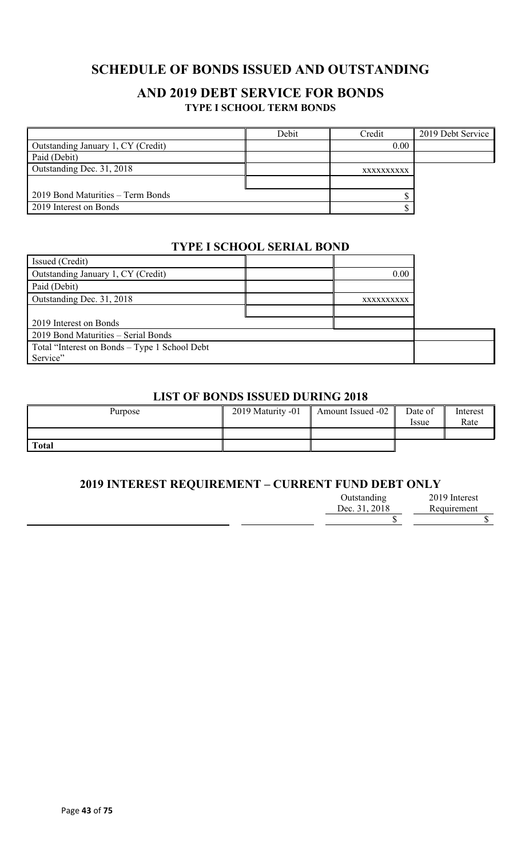## **SCHEDULE OF BONDS ISSUED AND OUTSTANDING**

### **AND 2019 DEBT SERVICE FOR BONDS TYPE I SCHOOL TERM BONDS**

|                                    | Debit | Credit     | 2019 Debt Service |
|------------------------------------|-------|------------|-------------------|
| Outstanding January 1, CY (Credit) |       | 0.00       |                   |
| Paid (Debit)                       |       |            |                   |
| Outstanding Dec. 31, 2018          |       | XXXXXXXXXX |                   |
|                                    |       |            |                   |
| 2019 Bond Maturities – Term Bonds  |       |            |                   |
| 2019 Interest on Bonds             |       |            |                   |

#### **TYPE I SCHOOL SERIAL BOND**

| Issued (Credit)                               |            |  |
|-----------------------------------------------|------------|--|
| Outstanding January 1, CY (Credit)            | 0.00       |  |
| Paid (Debit)                                  |            |  |
| Outstanding Dec. 31, 2018                     | XXXXXXXXXX |  |
|                                               |            |  |
| 2019 Interest on Bonds                        |            |  |
| 2019 Bond Maturities - Serial Bonds           |            |  |
| Total "Interest on Bonds – Type 1 School Debt |            |  |
| Service"                                      |            |  |

### **LIST OF BONDS ISSUED DURING 2018**

| Purpose      | 2019 Maturity -01 | Amount Issued -02 | Date of<br><i>ssue</i> | Interest<br>Rate |
|--------------|-------------------|-------------------|------------------------|------------------|
|              |                   |                   |                        |                  |
| <b>Total</b> |                   |                   |                        |                  |

#### **2019 INTEREST REQUIREMENT – CURRENT FUND DEBT ONLY**

| Outstanding   | 2019 Interest |
|---------------|---------------|
| Dec. 31, 2018 | Requirement   |
|               |               |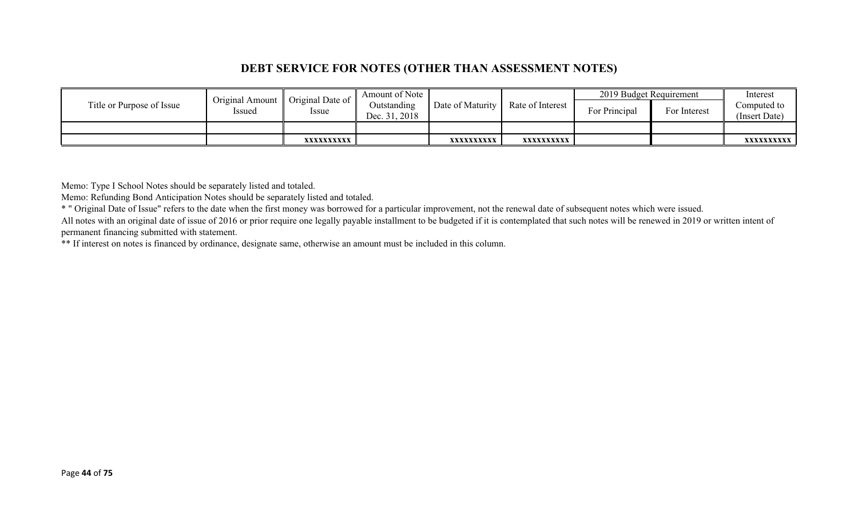### **DEBT SERVICE FOR NOTES (OTHER THAN ASSESSMENT NOTES)**

|                           | <b>Original Amount</b> | Original Date of | Amount of Note               |                  |                  | 2019 Budget Requirement |              | Interest                     |
|---------------------------|------------------------|------------------|------------------------------|------------------|------------------|-------------------------|--------------|------------------------------|
| Title or Purpose of Issue | Issued                 | Issue            | Outstanding<br>Dec. 31, 2018 | Date of Maturity | Rate of Interest | For Principal           | For Interest | Computed to<br>(Insert Date) |
|                           |                        |                  |                              |                  |                  |                         |              |                              |
|                           |                        | XXXXXXXXXX       |                              | XXXXXXXXXX       | XXXXXXXXXX       |                         |              | XXXXXXXXXX I                 |

Memo: Type I School Notes should be separately listed and totaled.

Memo: Refunding Bond Anticipation Notes should be separately listed and totaled.

\* " Original Date of Issue" refers to the date when the first money was borrowed for a particular improvement, not the renewal date of subsequent notes which were issued.

All notes with an original date of issue of 2016 or prior require one legally payable installment to be budgeted if it is contemplated that such notes will be renewed in 2019 or written intent of permanent financing submitted with statement.

\*\* If interest on notes is financed by ordinance, designate same, otherwise an amount must be included in this column.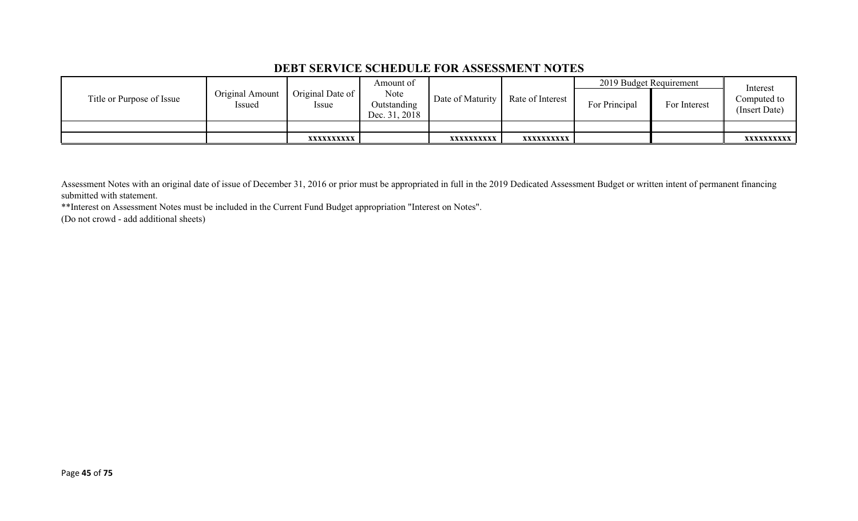### **DEBT SERVICE SCHEDULE FOR ASSESSMENT NOTES**

|                           |                           |                                 | Amount of                            |                  |                  | 2019 Budget Requirement |              | Interest                     |
|---------------------------|---------------------------|---------------------------------|--------------------------------------|------------------|------------------|-------------------------|--------------|------------------------------|
| Title or Purpose of Issue | Original Amount<br>Issued | Original Date of<br><i>ssue</i> | Note<br>Outstanding<br>Dec. 31, 2018 | Date of Maturity | Rate of Interest | For Principal           | For Interest | Computed to<br>(Insert Date) |
|                           |                           |                                 |                                      |                  |                  |                         |              |                              |
|                           |                           | XXXXXXXXXX                      |                                      | XXXXXXXXXX       | xxxxxxxxxx       |                         |              | <b>XXXXXXXXXX</b>            |

Assessment Notes with an original date of issue of December 31, 2016 or prior must be appropriated in full in the 2019 Dedicated Assessment Budget or written intent of permanent financing submitted with statement.

\*\*Interest on Assessment Notes must be included in the Current Fund Budget appropriation "Interest on Notes".

(Do not crowd - add additional sheets)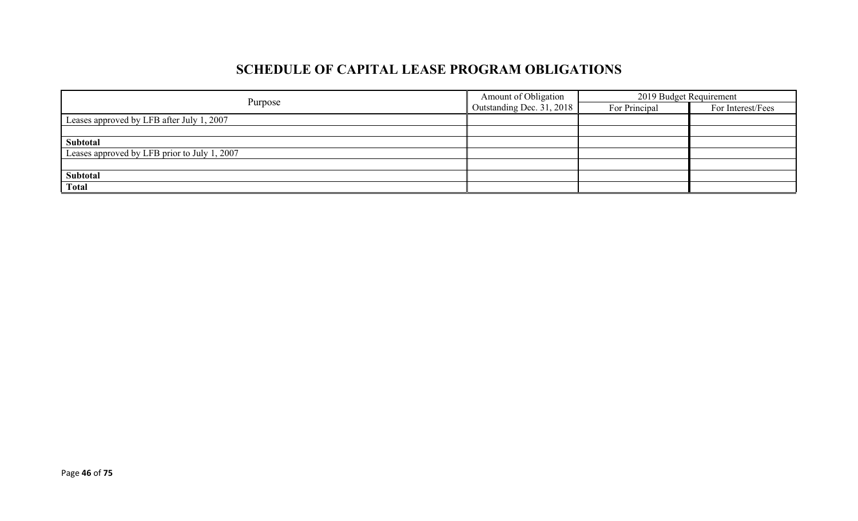# **SCHEDULE OF CAPITAL LEASE PROGRAM OBLIGATIONS**

| Purpose                                      | Amount of Obligation             | 2019 Budget Requirement |                   |  |
|----------------------------------------------|----------------------------------|-------------------------|-------------------|--|
|                                              | $\Box$ Outstanding Dec. 31, 2018 | For Principal           | For Interest/Fees |  |
| Leases approved by LFB after July 1, 2007    |                                  |                         |                   |  |
|                                              |                                  |                         |                   |  |
| Subtotal                                     |                                  |                         |                   |  |
| Leases approved by LFB prior to July 1, 2007 |                                  |                         |                   |  |
|                                              |                                  |                         |                   |  |
| Subtotal                                     |                                  |                         |                   |  |
| <b>Total</b>                                 |                                  |                         |                   |  |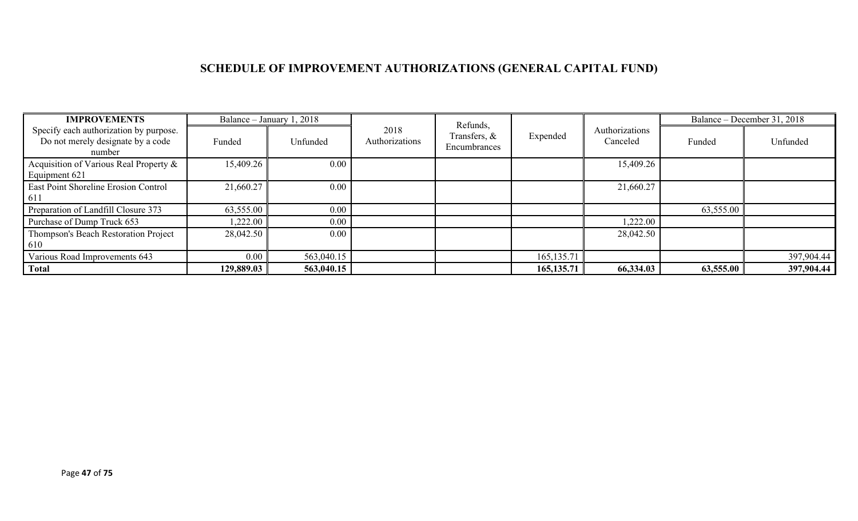# **SCHEDULE OF IMPROVEMENT AUTHORIZATIONS (GENERAL CAPITAL FUND)**

| <b>IMPROVEMENTS</b>                                                                   |            | Balance – January 1, 2018 |                        | Refunds,                     |              |                            |           | Balance – December 31, 2018 |
|---------------------------------------------------------------------------------------|------------|---------------------------|------------------------|------------------------------|--------------|----------------------------|-----------|-----------------------------|
| Specify each authorization by purpose.<br>Do not merely designate by a code<br>number | Funded     | Unfunded                  | 2018<br>Authorizations | Transfers, &<br>Encumbrances | Expended     | Authorizations<br>Canceled | Funded    | Unfunded                    |
| Acquisition of Various Real Property &<br>Equipment 621                               | 15,409.26  | 0.00                      |                        |                              |              | 15,409.26                  |           |                             |
| East Point Shoreline Erosion Control<br>611                                           | 21,660.27  | 0.00                      |                        |                              |              | 21,660.27                  |           |                             |
| Preparation of Landfill Closure 373                                                   | 63,555.00  | 0.00                      |                        |                              |              |                            | 63,555.00 |                             |
| Purchase of Dump Truck 653                                                            | ,222.00    | 0.00                      |                        |                              |              | 1,222.00                   |           |                             |
| Thompson's Beach Restoration Project<br>610                                           | 28,042.50  | 0.00                      |                        |                              |              | 28,042.50                  |           |                             |
| Various Road Improvements 643                                                         | 0.00       | 563,040.15                |                        |                              | 165, 135. 71 |                            |           | 397,904.44                  |
| <b>Total</b>                                                                          | 129,889.03 | 563,040.15                |                        |                              | 165, 135. 71 | 66,334.03                  | 63,555.00 | 397,904.44                  |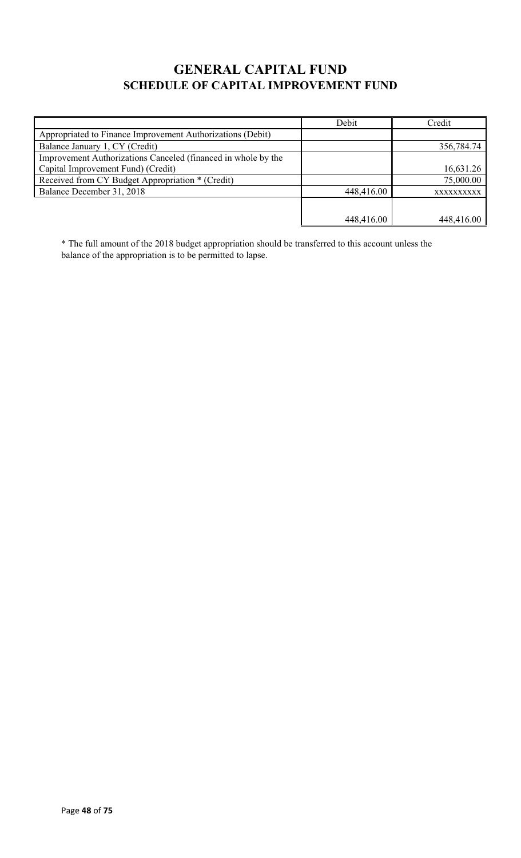## **GENERAL CAPITAL FUND SCHEDULE OF CAPITAL IMPROVEMENT FUND**

|                                                               | Debit      | Credit     |
|---------------------------------------------------------------|------------|------------|
| Appropriated to Finance Improvement Authorizations (Debit)    |            |            |
| Balance January 1, CY (Credit)                                |            | 356,784.74 |
| Improvement Authorizations Canceled (financed in whole by the |            |            |
| Capital Improvement Fund) (Credit)                            |            | 16,631.26  |
| Received from CY Budget Appropriation * (Credit)              |            | 75,000.00  |
| Balance December 31, 2018                                     | 448,416.00 | XXXXXXXXXX |
|                                                               |            |            |
|                                                               | 448,416.00 | 448,416.00 |

\* The full amount of the 2018 budget appropriation should be transferred to this account unless the balance of the appropriation is to be permitted to lapse.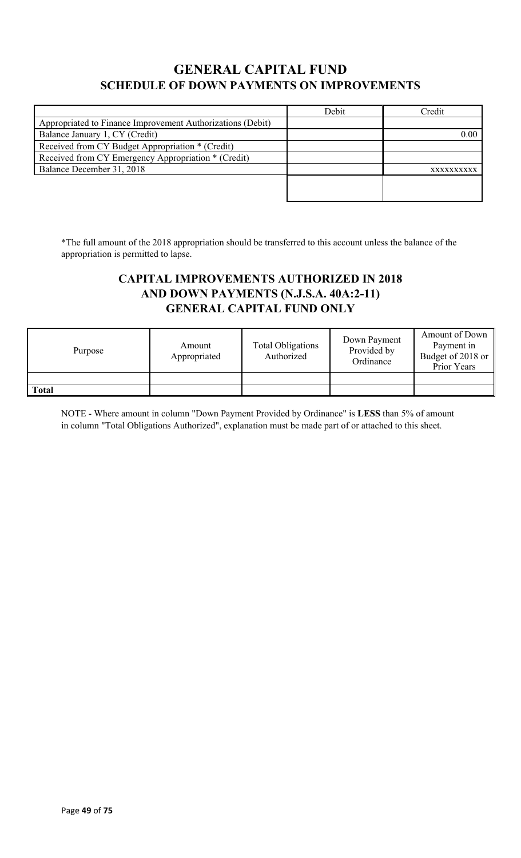## **GENERAL CAPITAL FUND SCHEDULE OF DOWN PAYMENTS ON IMPROVEMENTS**

|                                                            | Debit | Credit     |
|------------------------------------------------------------|-------|------------|
| Appropriated to Finance Improvement Authorizations (Debit) |       |            |
| Balance January 1, CY (Credit)                             |       | 0.00       |
| Received from CY Budget Appropriation * (Credit)           |       |            |
| Received from CY Emergency Appropriation * (Credit)        |       |            |
| Balance December 31, 2018                                  |       | XXXXXXXXXX |
|                                                            |       |            |
|                                                            |       |            |

\*The full amount of the 2018 appropriation should be transferred to this account unless the balance of the appropriation is permitted to lapse.

### **CAPITAL IMPROVEMENTS AUTHORIZED IN 2018 AND DOWN PAYMENTS (N.J.S.A. 40A:2-11) GENERAL CAPITAL FUND ONLY**

| Purpose      | Amount<br>Appropriated | <b>Total Obligations</b><br>Authorized | Down Payment<br>Provided by<br>Ordinance | Amount of Down<br>Payment in<br>Budget of 2018 or<br>Prior Years |
|--------------|------------------------|----------------------------------------|------------------------------------------|------------------------------------------------------------------|
|              |                        |                                        |                                          |                                                                  |
| <b>Total</b> |                        |                                        |                                          |                                                                  |

NOTE - Where amount in column "Down Payment Provided by Ordinance" is **LESS** than 5% of amount in column "Total Obligations Authorized", explanation must be made part of or attached to this sheet.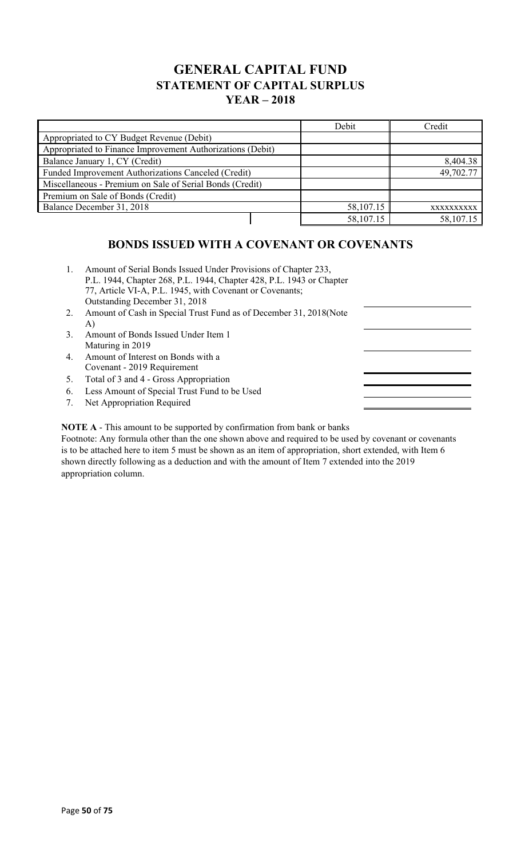### **GENERAL CAPITAL FUND STATEMENT OF CAPITAL SURPLUS YEAR – 2018**

|                                                            |  | Debit     | Credit     |
|------------------------------------------------------------|--|-----------|------------|
| Appropriated to CY Budget Revenue (Debit)                  |  |           |            |
| Appropriated to Finance Improvement Authorizations (Debit) |  |           |            |
| Balance January 1, CY (Credit)                             |  |           | 8,404.38   |
| Funded Improvement Authorizations Canceled (Credit)        |  |           | 49,702.77  |
| Miscellaneous - Premium on Sale of Serial Bonds (Credit)   |  |           |            |
| Premium on Sale of Bonds (Credit)                          |  |           |            |
| Balance December 31, 2018                                  |  | 58,107.15 | XXXXXXXXXX |
|                                                            |  | 58,107.15 | 58,107.15  |

### **BONDS ISSUED WITH A COVENANT OR COVENANTS**

- 1. Amount of Serial Bonds Issued Under Provisions of Chapter 233, P.L. 1944, Chapter 268, P.L. 1944, Chapter 428, P.L. 1943 or Chapter 77, Article VI-A, P.L. 1945, with Covenant or Covenants; Outstanding December 31, 2018
- 2. Amount of Cash in Special Trust Fund as of December 31, 2018(Note A)
- 3. Amount of Bonds Issued Under Item 1 Maturing in 2019
- 4. Amount of Interest on Bonds with a Covenant - 2019 Requirement
- 5. Total of 3 and 4 Gross Appropriation
- 6. Less Amount of Special Trust Fund to be Used
- 7. Net Appropriation Required

**NOTE A** - This amount to be supported by confirmation from bank or banks

Footnote: Any formula other than the one shown above and required to be used by covenant or covenants is to be attached here to item 5 must be shown as an item of appropriation, short extended, with Item 6 shown directly following as a deduction and with the amount of Item 7 extended into the 2019 appropriation column.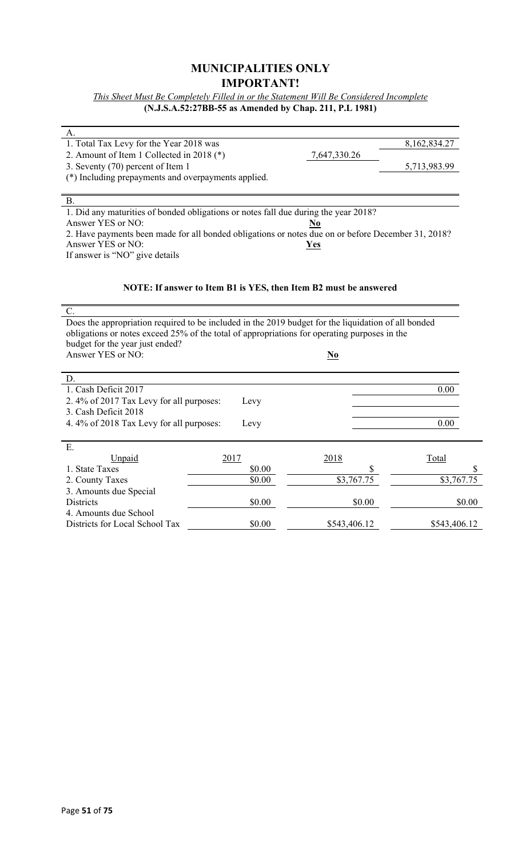### **MUNICIPALITIES ONLY IMPORTANT!**

*This Sheet Must Be Completely Filled in or the Statement Will Be Considered Incomplete* **(N.J.S.A.52:27BB-55 as Amended by Chap. 211, P.L 1981)**

| А.                                                                                                 |              |              |
|----------------------------------------------------------------------------------------------------|--------------|--------------|
| 1. Total Tax Levy for the Year 2018 was                                                            |              | 8,162,834.27 |
| 2. Amount of Item 1 Collected in 2018 $(*)$                                                        | 7,647,330.26 |              |
| 3. Seventy (70) percent of Item 1                                                                  |              | 5,713,983.99 |
| (*) Including prepayments and overpayments applied.                                                |              |              |
|                                                                                                    |              |              |
| В.                                                                                                 |              |              |
| 1. Did any maturities of bonded obligations or notes fall due during the year 2018?                |              |              |
| Answer YES or NO:                                                                                  |              |              |
| 2. Have payments been made for all bonded obligations or notes due on or before December 31, 2018? |              |              |
| Answer YES or NO:                                                                                  | Yes          |              |
| If answer is "NO" give details                                                                     |              |              |
|                                                                                                    |              |              |

#### **NOTE: If answer to Item B1 is YES, then Item B2 must be answered**

| C.                                                                                                  |        |              |              |
|-----------------------------------------------------------------------------------------------------|--------|--------------|--------------|
| Does the appropriation required to be included in the 2019 budget for the liquidation of all bonded |        |              |              |
| obligations or notes exceed 25% of the total of appropriations for operating purposes in the        |        |              |              |
| budget for the year just ended?                                                                     |        |              |              |
| Answer YES or NO:                                                                                   |        | <u>No</u>    |              |
|                                                                                                     |        |              |              |
| D.                                                                                                  |        |              |              |
| 1. Cash Deficit 2017                                                                                |        |              | 0.00         |
| 2.4% of 2017 Tax Levy for all purposes:                                                             | Levy   |              |              |
| 3. Cash Deficit 2018                                                                                |        |              |              |
| 4.4% of 2018 Tax Levy for all purposes:                                                             | Levy   |              | 0.00         |
|                                                                                                     |        |              |              |
| E.                                                                                                  |        |              |              |
| Unpaid                                                                                              | 2017   | 2018         | Total        |
| 1. State Taxes                                                                                      | \$0.00 |              |              |
| 2. County Taxes                                                                                     | \$0.00 | \$3,767.75   | \$3,767.75   |
| 3. Amounts due Special                                                                              |        |              |              |
| Districts                                                                                           | \$0.00 | \$0.00       | \$0.00       |
| 4. Amounts due School                                                                               |        |              |              |
| Districts for Local School Tax                                                                      | \$0.00 | \$543,406.12 | \$543,406.12 |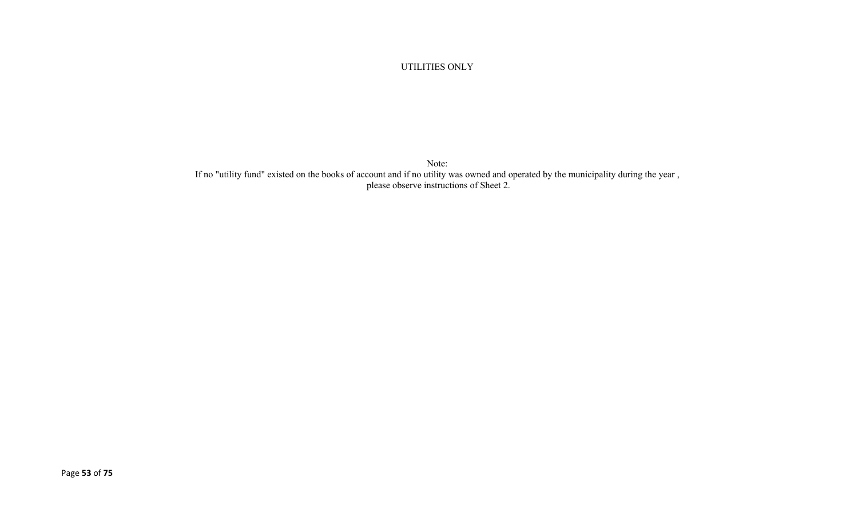#### UTILITIES ONLY

Note: If no "utility fund" existed on the books of account and if no utility was owned and operated by the municipality during the year , please observe instructions of Sheet 2.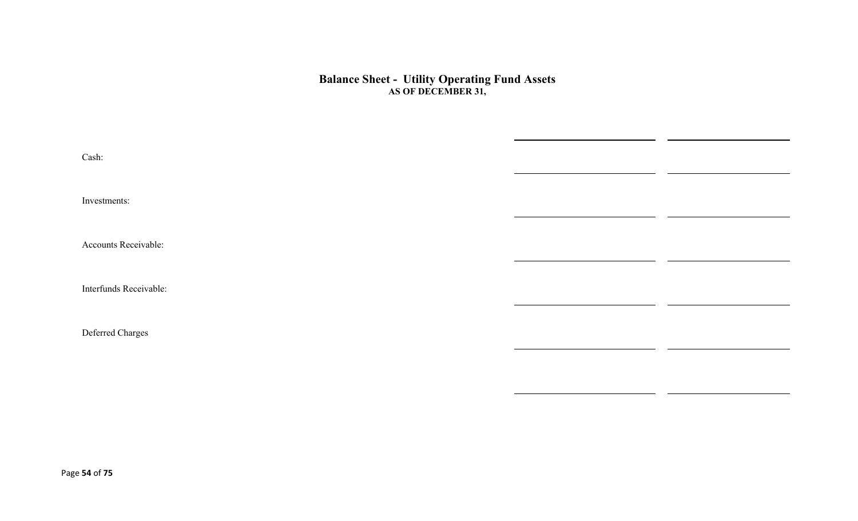#### **Balance Sheet - Utility Operating Fund Assets AS OF DECEMBER 31,**

| Cash:                  |  |
|------------------------|--|
| Investments:           |  |
| Accounts Receivable:   |  |
| Interfunds Receivable: |  |
| Deferred Charges       |  |
|                        |  |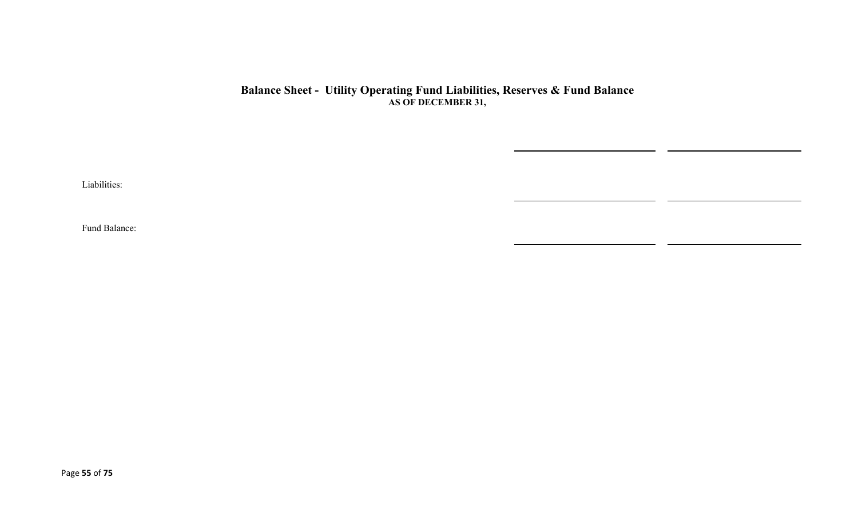#### **Balance Sheet - Utility Operating Fund Liabilities, Reserves & Fund Balance AS OF DECEMBER 31,**

Liabilities:

Fund Balance: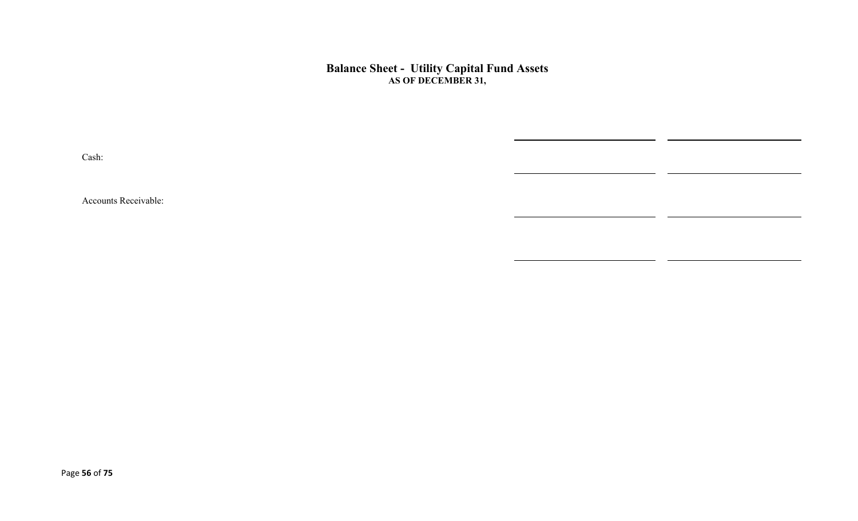#### **Balance Sheet - Utility Capital Fund Assets AS OF DECEMBER 31,**

 $\overline{\phantom{0}}$ 

Cash:

Accounts Receivable: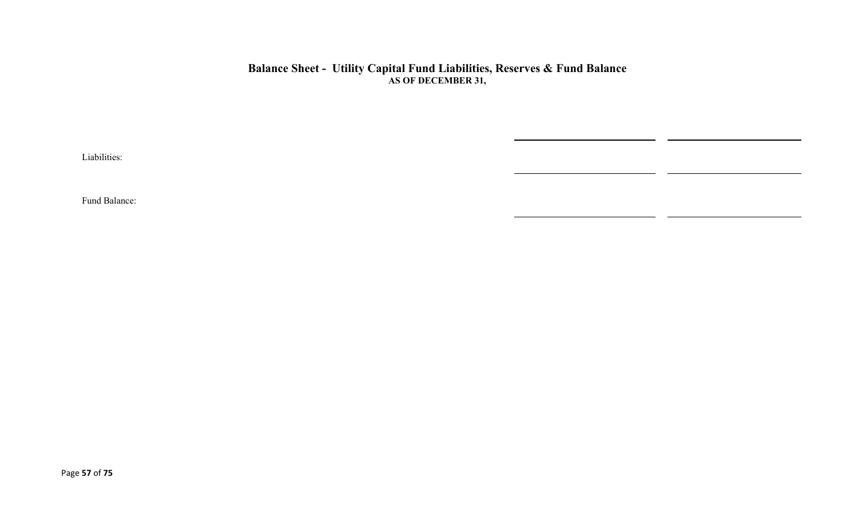#### **Balance Sheet - Utility Capital Fund Liabilities, Reserves & Fund Balance AS OF DECEMBER 31,**

 $\overline{\phantom{0}}$ 

Liabilities:

Fund Balance: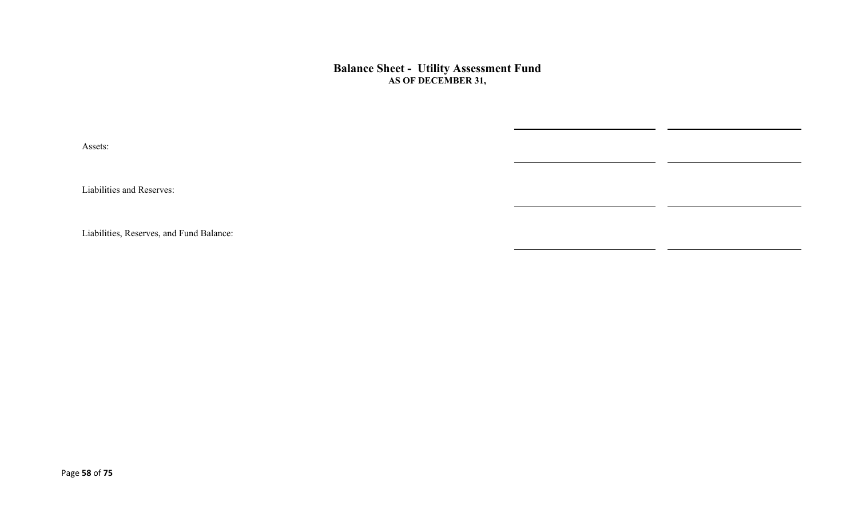**Balance Sheet - Utility Assessment Fund AS OF DECEMBER 31,** 

Assets:

Liabilities and Reserves:

Liabilities, Reserves, and Fund Balance: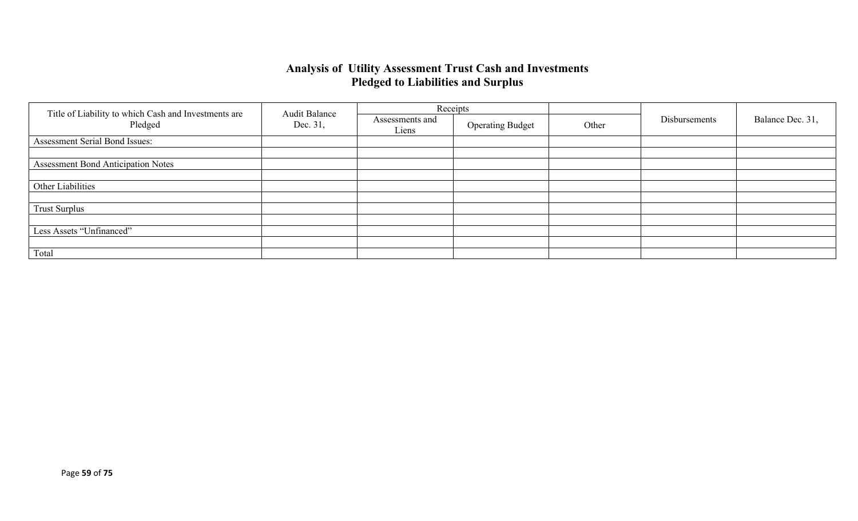### **Analysis of Utility Assessment Trust Cash and Investments Pledged to Liabilities and Surplus**

|                                                                 | <b>Audit Balance</b> | Receipts                 |                         |       |               |                  |
|-----------------------------------------------------------------|----------------------|--------------------------|-------------------------|-------|---------------|------------------|
| Title of Liability to which Cash and Investments are<br>Pledged | Dec. 31,             | Assessments and<br>Liens | <b>Operating Budget</b> | Other | Disbursements | Balance Dec. 31, |
| Assessment Serial Bond Issues:                                  |                      |                          |                         |       |               |                  |
|                                                                 |                      |                          |                         |       |               |                  |
| <b>Assessment Bond Anticipation Notes</b>                       |                      |                          |                         |       |               |                  |
|                                                                 |                      |                          |                         |       |               |                  |
| Other Liabilities                                               |                      |                          |                         |       |               |                  |
|                                                                 |                      |                          |                         |       |               |                  |
| <b>Trust Surplus</b>                                            |                      |                          |                         |       |               |                  |
|                                                                 |                      |                          |                         |       |               |                  |
| Less Assets "Unfinanced"                                        |                      |                          |                         |       |               |                  |
|                                                                 |                      |                          |                         |       |               |                  |
| Total                                                           |                      |                          |                         |       |               |                  |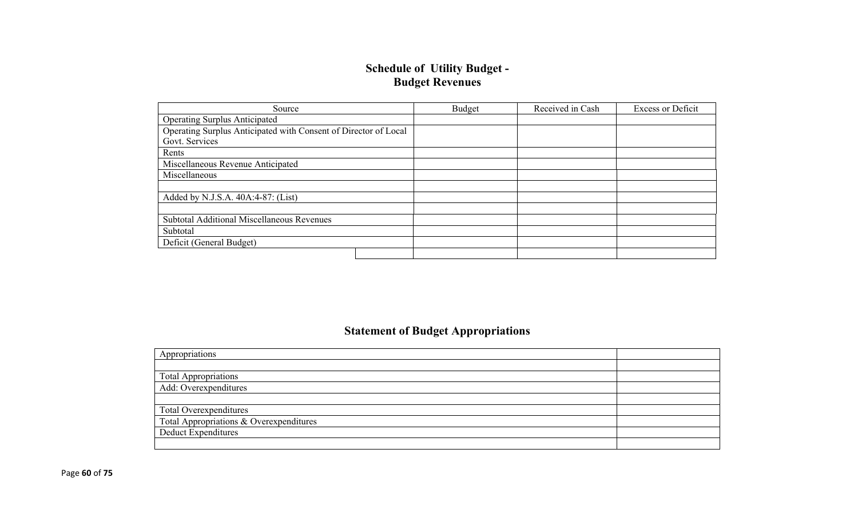### **Schedule of Utility Budget - Budget Revenues**

| Source                                                          | Budget | Received in Cash | <b>Excess or Deficit</b> |
|-----------------------------------------------------------------|--------|------------------|--------------------------|
| <b>Operating Surplus Anticipated</b>                            |        |                  |                          |
| Operating Surplus Anticipated with Consent of Director of Local |        |                  |                          |
| Govt. Services                                                  |        |                  |                          |
| Rents                                                           |        |                  |                          |
| Miscellaneous Revenue Anticipated                               |        |                  |                          |
| Miscellaneous                                                   |        |                  |                          |
|                                                                 |        |                  |                          |
| Added by N.J.S.A. 40A:4-87: (List)                              |        |                  |                          |
|                                                                 |        |                  |                          |
| <b>Subtotal Additional Miscellaneous Revenues</b>               |        |                  |                          |
| Subtotal                                                        |        |                  |                          |
| Deficit (General Budget)                                        |        |                  |                          |
|                                                                 |        |                  |                          |

## **Statement of Budget Appropriations**

| Appropriations                          |  |
|-----------------------------------------|--|
|                                         |  |
| Total Appropriations                    |  |
| Add: Overexpenditures                   |  |
|                                         |  |
| Total Overexpenditures                  |  |
| Total Appropriations & Overexpenditures |  |
| Deduct Expenditures                     |  |
|                                         |  |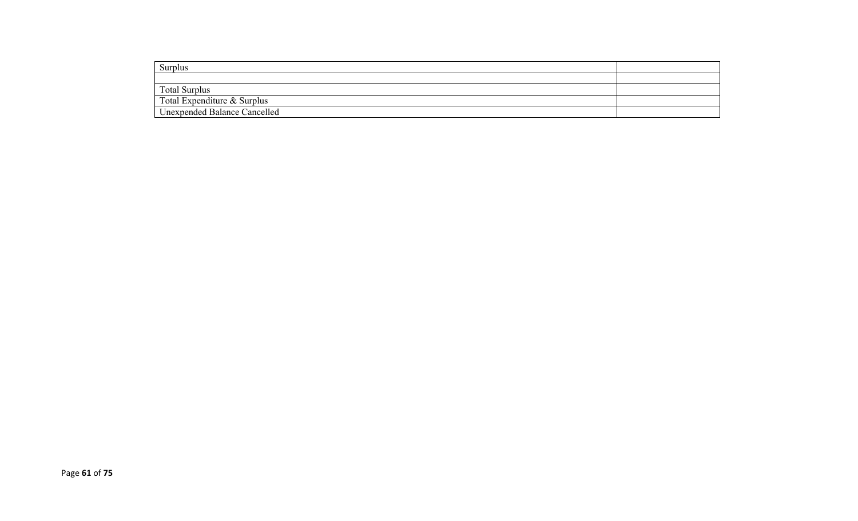| Surplus                             |  |
|-------------------------------------|--|
|                                     |  |
| <b>Total Surplus</b>                |  |
| Total Expenditure & Surplus         |  |
| <b>Unexpended Balance Cancelled</b> |  |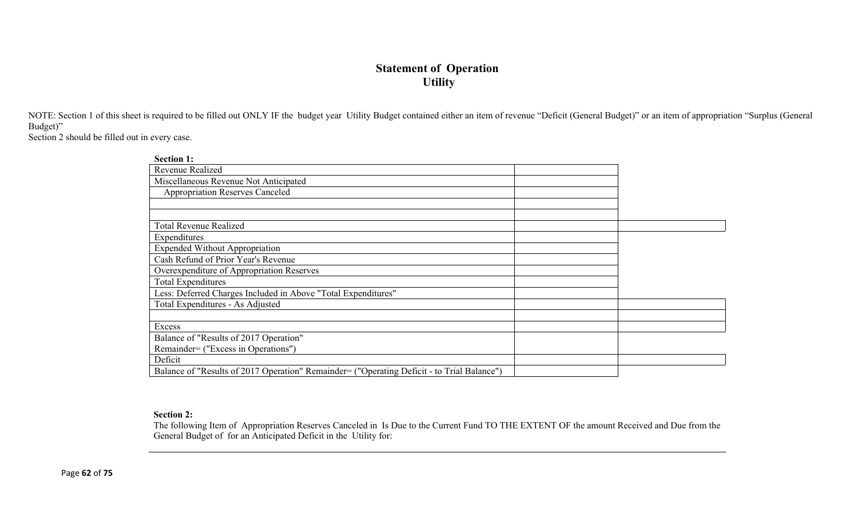### **Statement of Operation Utility**

NOTE: Section 1 of this sheet is required to be filled out ONLY IF the budget year Utility Budget contained either an item of revenue "Deficit (General Budget)" or an item of appropriation "Surplus (General Budget)"

Section 2 should be filled out in every case.

| <b>Section 1:</b>                                                                          |  |
|--------------------------------------------------------------------------------------------|--|
| Revenue Realized                                                                           |  |
| Miscellaneous Revenue Not Anticipated                                                      |  |
| <b>Appropriation Reserves Canceled</b>                                                     |  |
|                                                                                            |  |
|                                                                                            |  |
| <b>Total Revenue Realized</b>                                                              |  |
| Expenditures                                                                               |  |
| <b>Expended Without Appropriation</b>                                                      |  |
| Cash Refund of Prior Year's Revenue                                                        |  |
| Overexpenditure of Appropriation Reserves                                                  |  |
| <b>Total Expenditures</b>                                                                  |  |
| Less: Deferred Charges Included in Above "Total Expenditures"                              |  |
| Total Expenditures - As Adjusted                                                           |  |
|                                                                                            |  |
| Excess                                                                                     |  |
| Balance of "Results of 2017 Operation"                                                     |  |
| Remainder= ("Excess in Operations")                                                        |  |
| Deficit                                                                                    |  |
| Balance of "Results of 2017 Operation" Remainder= ("Operating Deficit - to Trial Balance") |  |

#### **Section 2:**

The following Item of Appropriation Reserves Canceled in Is Due to the Current Fund TO THE EXTENT OF the amount Received and Due from the General Budget of for an Anticipated Deficit in the Utility for: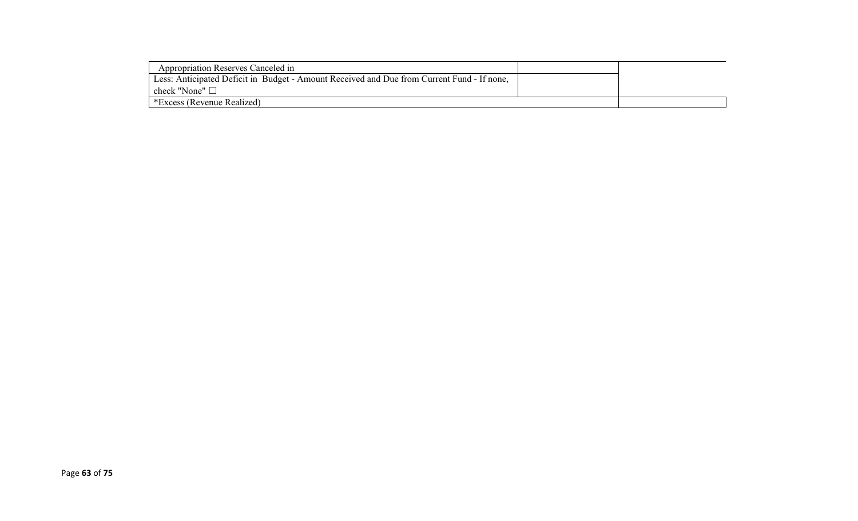| Appropriation Reserves Canceled in                                                         |  |
|--------------------------------------------------------------------------------------------|--|
| Less: Anticipated Deficit in Budget - Amount Received and Due from Current Fund - If none, |  |
| check "None" $\Box$                                                                        |  |
| *Excess (Revenue Realized)                                                                 |  |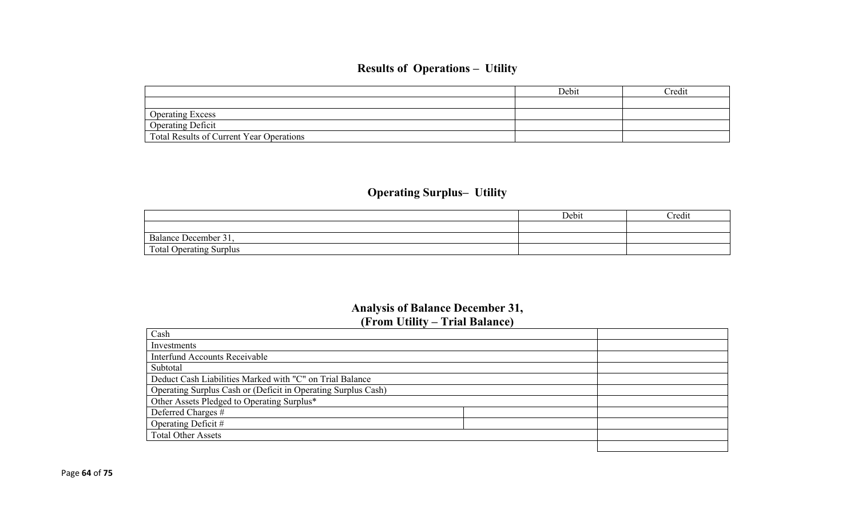## **Results of Operations – Utility**

|                                                 | Debit | Credit |
|-------------------------------------------------|-------|--------|
|                                                 |       |        |
| <b>Operating Excess</b>                         |       |        |
| <b>Operating Deficit</b>                        |       |        |
| <b>Total Results of Current Year Operations</b> |       |        |

## **Operating Surplus– Utility**

|                                | Debit | Credit |
|--------------------------------|-------|--------|
|                                |       |        |
| Balance December 31,           |       |        |
| <b>Total Operating Surplus</b> |       |        |

### **Analysis of Balance December 31, (From Utility – Trial Balance)**

| Cash                                                          |  |
|---------------------------------------------------------------|--|
| Investments                                                   |  |
| <b>Interfund Accounts Receivable</b>                          |  |
| Subtotal                                                      |  |
| Deduct Cash Liabilities Marked with "C" on Trial Balance      |  |
| Operating Surplus Cash or (Deficit in Operating Surplus Cash) |  |
| Other Assets Pledged to Operating Surplus*                    |  |
| Deferred Charges #                                            |  |
| Operating Deficit #                                           |  |
| <b>Total Other Assets</b>                                     |  |
|                                                               |  |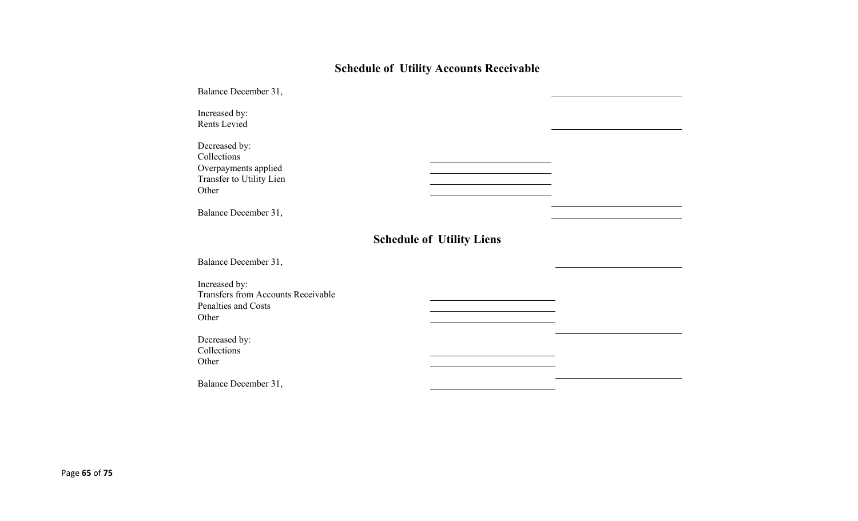# **Schedule of Utility Accounts Receivable**

| Balance December 31,                                                                       |                                  |  |
|--------------------------------------------------------------------------------------------|----------------------------------|--|
| Increased by:<br>Rents Levied                                                              |                                  |  |
| Decreased by:<br>Collections<br>Overpayments applied<br>Transfer to Utility Lien<br>Other  |                                  |  |
| Balance December 31,                                                                       |                                  |  |
|                                                                                            | <b>Schedule of Utility Liens</b> |  |
| Balance December 31,                                                                       |                                  |  |
| Increased by:<br><b>Transfers from Accounts Receivable</b><br>Penalties and Costs<br>Other |                                  |  |
| Decreased by:<br>Collections<br>Other                                                      |                                  |  |
| Balance December 31,                                                                       |                                  |  |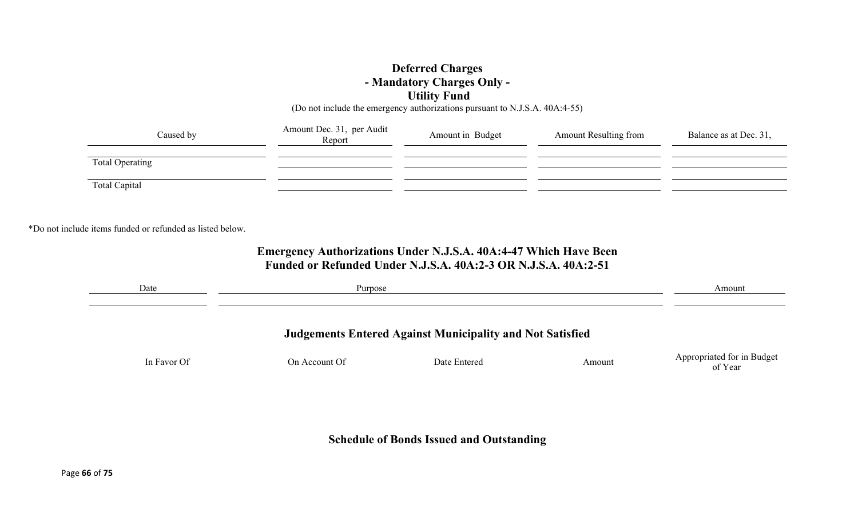### **Deferred Charges - Mandatory Charges Only - Utility Fund**

(Do not include the emergency authorizations pursuant to N.J.S.A. 40A:4-55)

| Caused by              | Amount Dec. 31, per Audit<br>Report | Amount in Budget | <b>Amount Resulting from</b> | Balance as at Dec. 31, |
|------------------------|-------------------------------------|------------------|------------------------------|------------------------|
| <b>Total Operating</b> |                                     |                  |                              |                        |
| Total Capital          |                                     |                  |                              |                        |

\*Do not include items funded or refunded as listed below.

### **Emergency Authorizations Under N.J.S.A. 40A:4-47 Which Have Been Funded or Refunded Under N.J.S.A. 40A:2-3 OR N.J.S.A. 40A:2-51**

| Date        | Purpose       |                                                                  |        | Amount                                |
|-------------|---------------|------------------------------------------------------------------|--------|---------------------------------------|
|             |               | <b>Judgements Entered Against Municipality and Not Satisfied</b> |        |                                       |
| In Favor Of | On Account Of | Date Entered                                                     | Amount | Appropriated for in Budget<br>of Year |
|             |               |                                                                  |        |                                       |

**Schedule of Bonds Issued and Outstanding**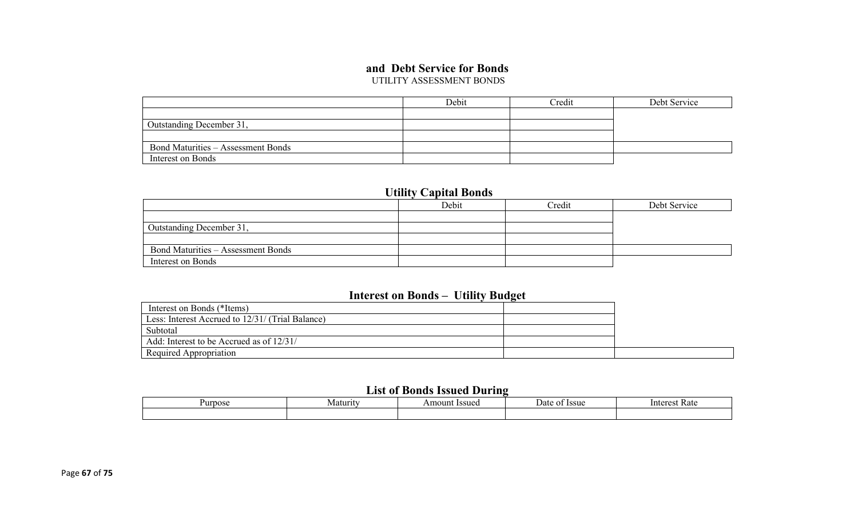### **and Debt Service for Bonds**

UTILITY ASSESSMENT BONDS

|                                           | Debit | Credit | Debt Service |
|-------------------------------------------|-------|--------|--------------|
|                                           |       |        |              |
| Outstanding December 31,                  |       |        |              |
|                                           |       |        |              |
| <b>Bond Maturities – Assessment Bonds</b> |       |        |              |
| Interest on Bonds                         |       |        |              |

### **Utility Capital Bonds**

|                                           | Debit | Credit | Debt Service |
|-------------------------------------------|-------|--------|--------------|
|                                           |       |        |              |
| Outstanding December 31,                  |       |        |              |
|                                           |       |        |              |
| <b>Bond Maturities – Assessment Bonds</b> |       |        |              |
| Interest on Bonds                         |       |        |              |

### **Interest on Bonds – Utility Budget**

| Interest on Bonds (*Items)                       |  |
|--------------------------------------------------|--|
| Less: Interest Accrued to 12/31/ (Trial Balance) |  |
| Subtotal                                         |  |
| Add: Interest to be Accrued as of 12/31/         |  |
| Required Appropriation                           |  |

### **List of Bonds Issued During**

| <b>Purpose</b> | Maturity | Issued<br>Amount | : Issue<br>Jate<br>$\mathbf{u}$ | Rate<br>Interest |  |
|----------------|----------|------------------|---------------------------------|------------------|--|
|                |          |                  |                                 |                  |  |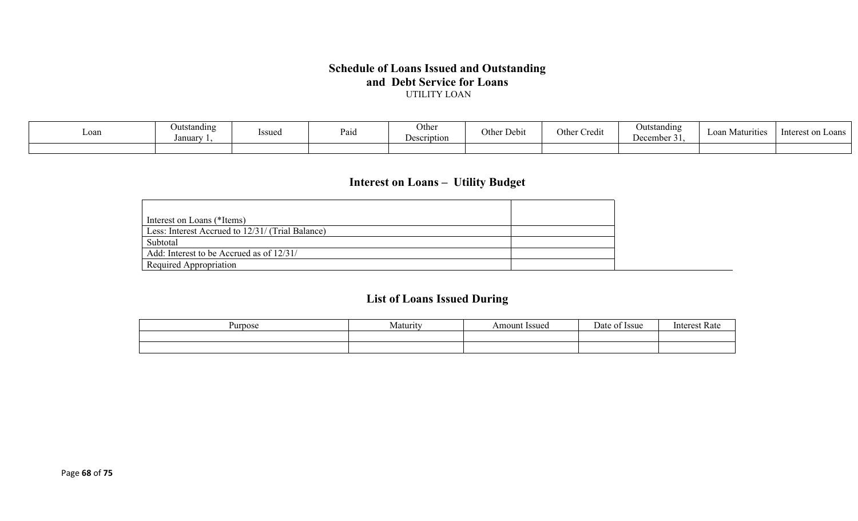#### **Schedule of Loans Issued and Outstanding and Debt Service for Loans** UTILITY LOAN

| Loan | <b>Outstanding</b><br>Januar | Issued | Paid | Other<br><b>Description</b> | $\mathbf{r}$<br>⌒<br>Other Debit | $\bullet$ .<br>Othe<br>Credit | Outstanding<br>December 31. | Loan Matv<br>irities | - Interest or<br>$\sim$ oans |
|------|------------------------------|--------|------|-----------------------------|----------------------------------|-------------------------------|-----------------------------|----------------------|------------------------------|
|      |                              |        |      |                             |                                  |                               |                             |                      |                              |

## **Interest on Loans – Utility Budget**

| Interest on Loans (*Items)                       |
|--------------------------------------------------|
| Less: Interest Accrued to 12/31/ (Trial Balance) |
| Subtotal                                         |
| Add: Interest to be Accrued as of 12/31/         |
| Required Appropriation                           |

## **List of Loans Issued During**

| nos<br>1 I I | .4 otunut<br>$\sim$ | ssue<br>$\Omega$ in | $\alpha$<br>-554c | $\sim$<br>. |
|--------------|---------------------|---------------------|-------------------|-------------|
|              |                     |                     |                   |             |
|              |                     |                     |                   |             |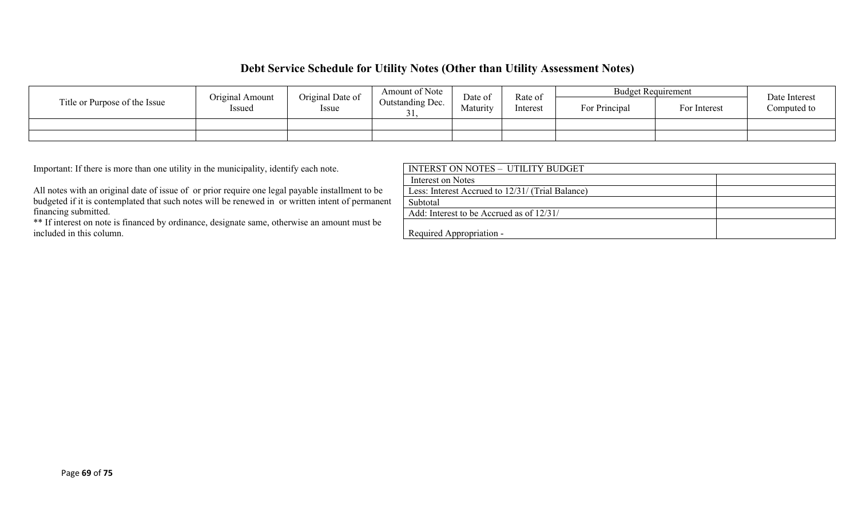### **Debt Service Schedule for Utility Notes (Other than Utility Assessment Notes)**

|                               | Original Amount        | Original Date of | Amount of Note | Date of  | Rate of       | <b>Budget Requirement</b> |  | Date Interest<br>Computed to |
|-------------------------------|------------------------|------------------|----------------|----------|---------------|---------------------------|--|------------------------------|
| Title or Purpose of the Issue | Issued<br><i>Issue</i> | Outstanding Dec. | Maturity       | Interest | For Principal | For Interest              |  |                              |
|                               |                        |                  |                |          |               |                           |  |                              |
|                               |                        |                  |                |          |               |                           |  |                              |

Important: If there is more than one utility in the municipality, identify each note.

All notes with an original date of issue of or prior require one legal payable installment to be budgeted if it is contemplated that such notes will be renewed in or written intent of permanent financing submitted.

\*\* If interest on note is financed by ordinance, designate same, otherwise an amount must be included in this column.

| INTERST ON NOTES - UTILITY BUDGET                |
|--------------------------------------------------|
| Interest on Notes                                |
| Less: Interest Accrued to 12/31/ (Trial Balance) |
| Subtotal                                         |
| Add: Interest to be Accrued as of 12/31/         |
| Required Appropriation -                         |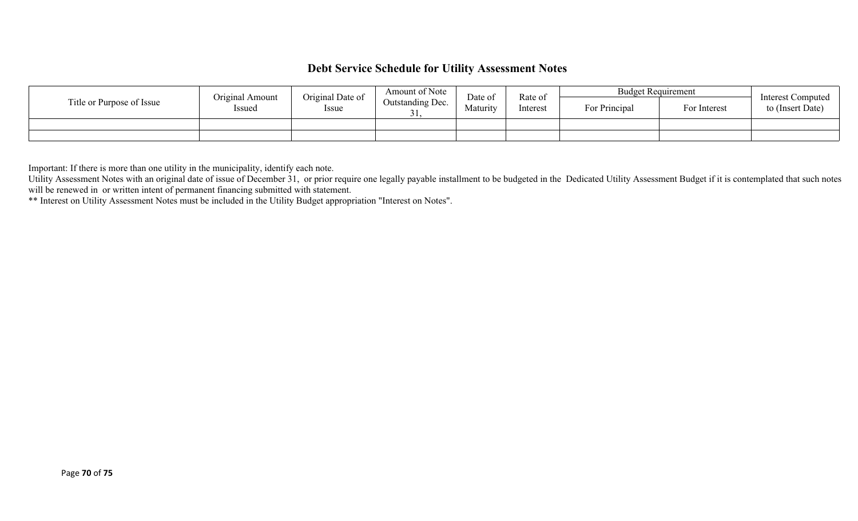### **Debt Service Schedule for Utility Assessment Notes**

|                           | Original Amount | Original Date of          | Amount of Note | Date of  | Rate of       | <b>Budget Requirement</b> |  | <b>Interest Computed</b><br>to (Insert Date) |
|---------------------------|-----------------|---------------------------|----------------|----------|---------------|---------------------------|--|----------------------------------------------|
| Title or Purpose of Issue | Issued          | Outstanding Dec.<br>Issue | Maturity       | Interest | For Principal | For Interest              |  |                                              |
|                           |                 |                           |                |          |               |                           |  |                                              |
|                           |                 |                           |                |          |               |                           |  |                                              |

Important: If there is more than one utility in the municipality, identify each note.

Utility Assessment Notes with an original date of issue of December 31, or prior require one legally payable installment to be budgeted in the Dedicated Utility Assessment Budget if it is contemplated that such notes will be renewed in or written intent of permanent financing submitted with statement.

\*\* Interest on Utility Assessment Notes must be included in the Utility Budget appropriation "Interest on Notes".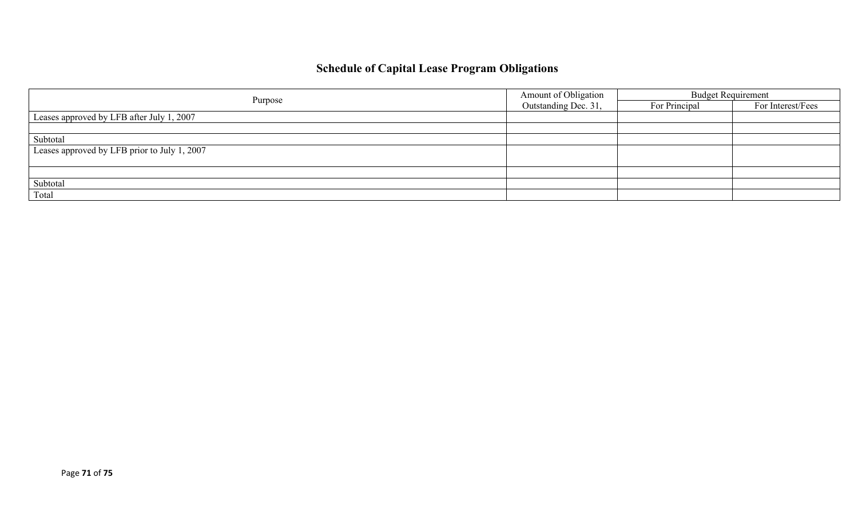# **Schedule of Capital Lease Program Obligations**

|                                              | Amount of Obligation | <b>Budget Requirement</b> |                   |  |
|----------------------------------------------|----------------------|---------------------------|-------------------|--|
| Purpose                                      | Outstanding Dec. 31, | For Principal             | For Interest/Fees |  |
| Leases approved by LFB after July 1, 2007    |                      |                           |                   |  |
|                                              |                      |                           |                   |  |
| Subtotal                                     |                      |                           |                   |  |
| Leases approved by LFB prior to July 1, 2007 |                      |                           |                   |  |
|                                              |                      |                           |                   |  |
|                                              |                      |                           |                   |  |
| Subtotal                                     |                      |                           |                   |  |
| Total                                        |                      |                           |                   |  |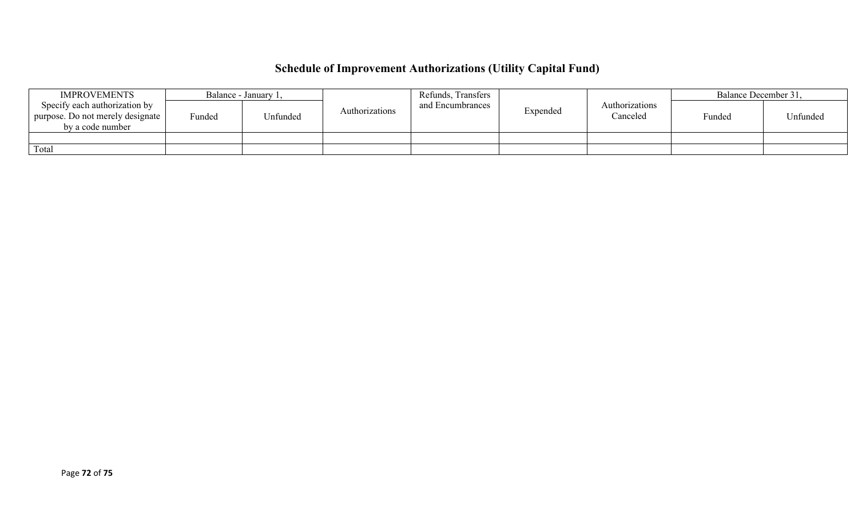# **Schedule of Improvement Authorizations (Utility Capital Fund)**

| <b>IMPROVEMENTS</b>                                                                   |        | Balance - January 1, |                | Refunds, Transfers |          |                            | Balance December 31, |          |
|---------------------------------------------------------------------------------------|--------|----------------------|----------------|--------------------|----------|----------------------------|----------------------|----------|
| Specify each authorization by<br>purpose. Do not merely designate<br>by a code number | Funded | <b>Jnfunded</b>      | Authorizations | and Encumbrances   | Expended | Authorizations<br>Canceled | Funded               | Unfunded |
|                                                                                       |        |                      |                |                    |          |                            |                      |          |
| Total                                                                                 |        |                      |                |                    |          |                            |                      |          |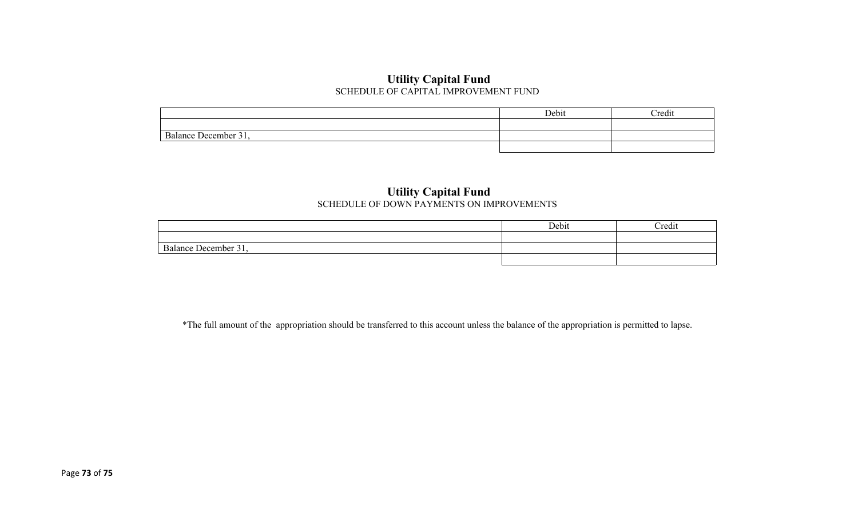## **Utility Capital Fund** SCHEDULE OF CAPITAL IMPROVEMENT FUND

|                                | Debit | Credit |
|--------------------------------|-------|--------|
|                                |       |        |
| $\sim$<br>Balance December 31, |       |        |
|                                |       |        |

## **Utility Capital Fund** SCHEDULE OF DOWN PAYMENTS ON IMPROVEMENTS

|                                                       | Debit | Credit |
|-------------------------------------------------------|-------|--------|
|                                                       |       |        |
| $\sim$<br>$\cdot$ Hacember $^{\prime}$<br>. Kalance ' |       |        |
|                                                       |       |        |

\*The full amount of the appropriation should be transferred to this account unless the balance of the appropriation is permitted to lapse.